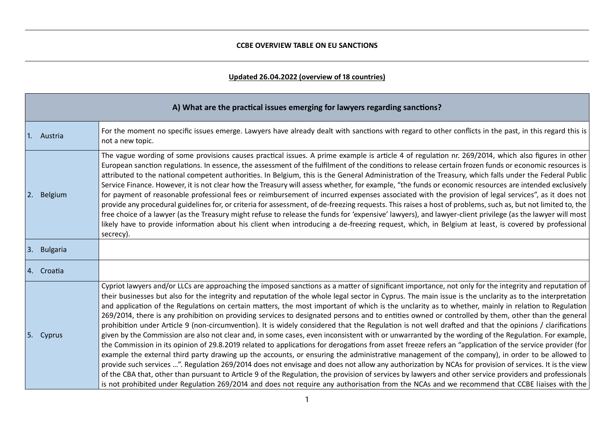## **Updated 26.04.2022 (overview of 18 countries)**

| A) What are the practical issues emerging for lawyers regarding sanctions? |                                                                                                                                                                                                                                                                                                                                                                                                                                                                                                                                                                                                                                                                                                                                                                                                                                                                                                                                                                                                                                                                                                                                                                                                                                                                                                                                                                                                                                                                                                                                                                                                                                                                                                                                    |  |
|----------------------------------------------------------------------------|------------------------------------------------------------------------------------------------------------------------------------------------------------------------------------------------------------------------------------------------------------------------------------------------------------------------------------------------------------------------------------------------------------------------------------------------------------------------------------------------------------------------------------------------------------------------------------------------------------------------------------------------------------------------------------------------------------------------------------------------------------------------------------------------------------------------------------------------------------------------------------------------------------------------------------------------------------------------------------------------------------------------------------------------------------------------------------------------------------------------------------------------------------------------------------------------------------------------------------------------------------------------------------------------------------------------------------------------------------------------------------------------------------------------------------------------------------------------------------------------------------------------------------------------------------------------------------------------------------------------------------------------------------------------------------------------------------------------------------|--|
| 1. Austria                                                                 | For the moment no specific issues emerge. Lawyers have already dealt with sanctions with regard to other conflicts in the past, in this regard this is<br>not a new topic.                                                                                                                                                                                                                                                                                                                                                                                                                                                                                                                                                                                                                                                                                                                                                                                                                                                                                                                                                                                                                                                                                                                                                                                                                                                                                                                                                                                                                                                                                                                                                         |  |
| Belgium<br> 2.                                                             | The vague wording of some provisions causes practical issues. A prime example is article 4 of regulation nr. 269/2014, which also figures in other<br>European sanction regulations. In essence, the assessment of the fulfilment of the conditions to release certain frozen funds or economic resources is<br>attributed to the national competent authorities. In Belgium, this is the General Administration of the Treasury, which falls under the Federal Public<br>Service Finance. However, it is not clear how the Treasury will assess whether, for example, "the funds or economic resources are intended exclusively<br>for payment of reasonable professional fees or reimbursement of incurred expenses associated with the provision of legal services", as it does not<br>provide any procedural guidelines for, or criteria for assessment, of de-freezing requests. This raises a host of problems, such as, but not limited to, the<br>free choice of a lawyer (as the Treasury might refuse to release the funds for 'expensive' lawyers), and lawyer-client privilege (as the lawyer will most<br>likely have to provide information about his client when introducing a de-freezing request, which, in Belgium at least, is covered by professional<br>secrecy).                                                                                                                                                                                                                                                                                                                                                                                                                                             |  |
| 3. Bulgaria                                                                |                                                                                                                                                                                                                                                                                                                                                                                                                                                                                                                                                                                                                                                                                                                                                                                                                                                                                                                                                                                                                                                                                                                                                                                                                                                                                                                                                                                                                                                                                                                                                                                                                                                                                                                                    |  |
| 14. Croatia                                                                |                                                                                                                                                                                                                                                                                                                                                                                                                                                                                                                                                                                                                                                                                                                                                                                                                                                                                                                                                                                                                                                                                                                                                                                                                                                                                                                                                                                                                                                                                                                                                                                                                                                                                                                                    |  |
| 5. Cyprus                                                                  | Cypriot lawyers and/or LLCs are approaching the imposed sanctions as a matter of significant importance, not only for the integrity and reputation of<br>their businesses but also for the integrity and reputation of the whole legal sector in Cyprus. The main issue is the unclarity as to the interpretation<br>and application of the Regulations on certain matters, the most important of which is the unclarity as to whether, mainly in relation to Regulation<br>269/2014, there is any prohibition on providing services to designated persons and to entities owned or controlled by them, other than the general<br>prohibition under Article 9 (non-circumvention). It is widely considered that the Regulation is not well drafted and that the opinions / clarifications<br>given by the Commission are also not clear and, in some cases, even inconsistent with or unwarranted by the wording of the Regulation. For example,<br>the Commission in its opinion of 29.8.2019 related to applications for derogations from asset freeze refers an "application of the service provider (for<br>example the external third party drawing up the accounts, or ensuring the administrative management of the company), in order to be allowed to<br>provide such services ". Regulation 269/2014 does not envisage and does not allow any authorization by NCAs for provision of services. It is the view<br>of the CBA that, other than pursuant to Article 9 of the Regulation, the provision of services by lawyers and other service providers and professionals<br>is not prohibited under Regulation 269/2014 and does not require any authorisation from the NCAs and we recommend that CCBE liaises with the |  |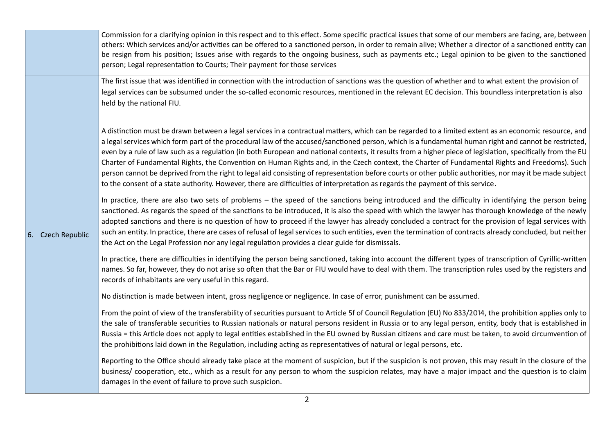|                   | Commission for a clarifying opinion in this respect and to this effect. Some specific practical issues that some of our members are facing, are, between<br>others: Which services and/or activities can be offered to a sanctioned person, in order to remain alive; Whether a director of a sanctioned entity can<br>be resign from his position; Issues arise with regards to the ongoing business, such as payments etc.; Legal opinion to be given to the sanctioned<br>person; Legal representation to Courts; Their payment for those services                                                                                                                                                                                                                                                                                                                                                                         |
|-------------------|-------------------------------------------------------------------------------------------------------------------------------------------------------------------------------------------------------------------------------------------------------------------------------------------------------------------------------------------------------------------------------------------------------------------------------------------------------------------------------------------------------------------------------------------------------------------------------------------------------------------------------------------------------------------------------------------------------------------------------------------------------------------------------------------------------------------------------------------------------------------------------------------------------------------------------|
|                   | The first issue that was identified in connection with the introduction of sanctions was the question of whether and to what extent the provision of<br>legal services can be subsumed under the so-called economic resources, mentioned in the relevant EC decision. This boundless interpretation is also<br>held by the national FIU.                                                                                                                                                                                                                                                                                                                                                                                                                                                                                                                                                                                      |
|                   | A distinction must be drawn between a legal services in a contractual matters, which can be regarded to a limited extent as an economic resource, and<br>a legal services which form part of the procedural law of the accused/sanctioned person, which is a fundamental human right and cannot be restricted,<br>even by a rule of law such as a regulation (in both European and national contexts, it results from a higher piece of legislation, specifically from the EU<br>Charter of Fundamental Rights, the Convention on Human Rights and, in the Czech context, the Charter of Fundamental Rights and Freedoms). Such<br>person cannot be deprived from the right to legal aid consisting of representation before courts or other public authorities, nor may it be made subject<br>to the consent of a state authority. However, there are difficulties of interpretation as regards the payment of this service. |
| 6. Czech Republic | In practice, there are also two sets of problems - the speed of the sanctions being introduced and the difficulty in identifying the person being<br>sanctioned. As regards the speed of the sanctions to be introduced, it is also the speed with which the lawyer has thorough knowledge of the newly<br>adopted sanctions and there is no question of how to proceed if the lawyer has already concluded a contract for the provision of legal services with<br>such an entity. In practice, there are cases of refusal of legal services to such entities, even the termination of contracts already concluded, but neither<br>the Act on the Legal Profession nor any legal regulation provides a clear guide for dismissals.                                                                                                                                                                                            |
|                   | In practice, there are difficulties in identifying the person being sanctioned, taking into account the different types of transcription of Cyrillic-written<br>names. So far, however, they do not arise so often that the Bar or FIU would have to deal with them. The transcription rules used by the registers and<br>records of inhabitants are very useful in this regard.                                                                                                                                                                                                                                                                                                                                                                                                                                                                                                                                              |
|                   | No distinction is made between intent, gross negligence or negligence. In case of error, punishment can be assumed.                                                                                                                                                                                                                                                                                                                                                                                                                                                                                                                                                                                                                                                                                                                                                                                                           |
|                   | From the point of view of the transferability of securities pursuant to Article 5f of Council Regulation (EU) No 833/2014, the prohibition applies only to<br>the sale of transferable securities to Russian nationals or natural persons resident in Russia or to any legal person, entity, body that is established in<br>Russia = this Article does not apply to legal entities established in the EU owned by Russian citizens and care must be taken, to avoid circumvention of<br>the prohibitions laid down in the Regulation, including acting as representatives of natural or legal persons, etc.                                                                                                                                                                                                                                                                                                                   |
|                   | Reporting to the Office should already take place at the moment of suspicion, but if the suspicion is not proven, this may result in the closure of the<br>business/ cooperation, etc., which as a result for any person to whom the suspicion relates, may have a major impact and the question is to claim<br>damages in the event of failure to prove such suspicion.                                                                                                                                                                                                                                                                                                                                                                                                                                                                                                                                                      |
|                   |                                                                                                                                                                                                                                                                                                                                                                                                                                                                                                                                                                                                                                                                                                                                                                                                                                                                                                                               |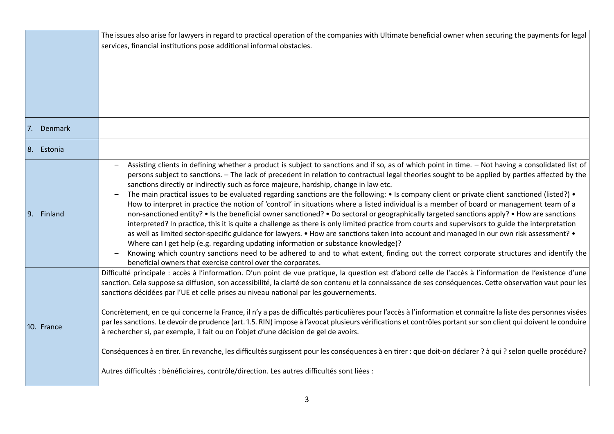|            | The issues also arise for lawyers in regard to practical operation of the companies with Ultimate beneficial owner when securing the payments for legal                                                                                                |
|------------|--------------------------------------------------------------------------------------------------------------------------------------------------------------------------------------------------------------------------------------------------------|
|            | services, financial institutions pose additional informal obstacles.                                                                                                                                                                                   |
|            |                                                                                                                                                                                                                                                        |
|            |                                                                                                                                                                                                                                                        |
|            |                                                                                                                                                                                                                                                        |
|            |                                                                                                                                                                                                                                                        |
|            |                                                                                                                                                                                                                                                        |
|            |                                                                                                                                                                                                                                                        |
| 7. Denmark |                                                                                                                                                                                                                                                        |
| 8. Estonia |                                                                                                                                                                                                                                                        |
|            | Assisting clients in defining whether a product is subject to sanctions and if so, as of which point in time. - Not having a consolidated list of                                                                                                      |
|            | persons subject to sanctions. - The lack of precedent in relation to contractual legal theories sought to be applied by parties affected by the                                                                                                        |
|            | sanctions directly or indirectly such as force majeure, hardship, change in law etc.                                                                                                                                                                   |
|            | The main practical issues to be evaluated regarding sanctions are the following: • Is company client or private client sanctioned (listed?) •                                                                                                          |
|            | How to interpret in practice the notion of 'control' in situations where a listed individual is a member of board or management team of a                                                                                                              |
| 9. Finland | non-sanctioned entity? • Is the beneficial owner sanctioned? • Do sectoral or geographically targeted sanctions apply? • How are sanctions                                                                                                             |
|            | interpreted? In practice, this it is quite a challenge as there is only limited practice from courts and supervisors to guide the interpretation                                                                                                       |
|            | as well as limited sector-specific guidance for lawyers. • How are sanctions taken into account and managed in our own risk assessment? •                                                                                                              |
|            | Where can I get help (e.g. regarding updating information or substance knowledge)?<br>Knowing which country sanctions need to be adhered to and to what extent, finding out the correct corporate structures and identify the                          |
|            | beneficial owners that exercise control over the corporates.                                                                                                                                                                                           |
|            | Difficulté principale : accès à l'information. D'un point de vue pratique, la question est d'abord celle de l'accès à l'information de l'existence d'une                                                                                               |
|            | sanction. Cela suppose sa diffusion, son accessibilité, la clarté de son contenu et la connaissance de ses conséquences. Cette observation vaut pour les                                                                                               |
|            | sanctions décidées par l'UE et celle prises au niveau national par les gouvernements.                                                                                                                                                                  |
|            |                                                                                                                                                                                                                                                        |
|            | Concrètement, en ce qui concerne la France, il n'y a pas de difficultés particulières pour l'accès à l'information et connaître la liste des personnes visées                                                                                          |
| 10. France | par les sanctions. Le devoir de prudence (art. 1.5. RIN) impose à l'avocat plusieurs vérifications et contrôles portant sur son client qui doivent le conduire<br>à rechercher si, par exemple, il fait ou on l'objet d'une décision de gel de avoirs. |
|            |                                                                                                                                                                                                                                                        |
|            | Conséquences à en tirer. En revanche, les difficultés surgissent pour les conséquences à en tirer : que doit-on déclarer ? à qui ? selon quelle procédure?                                                                                             |
|            | Autres difficultés : bénéficiaires, contrôle/direction. Les autres difficultés sont liées :                                                                                                                                                            |
|            |                                                                                                                                                                                                                                                        |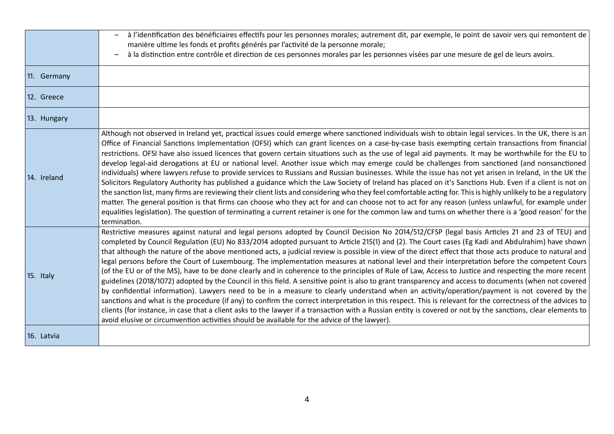|             | à l'identification des bénéficiaires effectifs pour les personnes morales; autrement dit, par exemple, le point de savoir vers qui remontent de<br>manière ultime les fonds et profits générés par l'activité de la personne morale;                                                                                                                                                                                                                                                                                                                                                                                                                                                                                                                                                                                                                                                                                                                                                                                                                                                                                                                                                                                                                                                                                                                                                                                                                                                                               |
|-------------|--------------------------------------------------------------------------------------------------------------------------------------------------------------------------------------------------------------------------------------------------------------------------------------------------------------------------------------------------------------------------------------------------------------------------------------------------------------------------------------------------------------------------------------------------------------------------------------------------------------------------------------------------------------------------------------------------------------------------------------------------------------------------------------------------------------------------------------------------------------------------------------------------------------------------------------------------------------------------------------------------------------------------------------------------------------------------------------------------------------------------------------------------------------------------------------------------------------------------------------------------------------------------------------------------------------------------------------------------------------------------------------------------------------------------------------------------------------------------------------------------------------------|
|             | à la distinction entre contrôle et direction de ces personnes morales par les personnes visées par une mesure de gel de leurs avoirs.                                                                                                                                                                                                                                                                                                                                                                                                                                                                                                                                                                                                                                                                                                                                                                                                                                                                                                                                                                                                                                                                                                                                                                                                                                                                                                                                                                              |
| 11. Germany |                                                                                                                                                                                                                                                                                                                                                                                                                                                                                                                                                                                                                                                                                                                                                                                                                                                                                                                                                                                                                                                                                                                                                                                                                                                                                                                                                                                                                                                                                                                    |
| 12. Greece  |                                                                                                                                                                                                                                                                                                                                                                                                                                                                                                                                                                                                                                                                                                                                                                                                                                                                                                                                                                                                                                                                                                                                                                                                                                                                                                                                                                                                                                                                                                                    |
| 13. Hungary |                                                                                                                                                                                                                                                                                                                                                                                                                                                                                                                                                                                                                                                                                                                                                                                                                                                                                                                                                                                                                                                                                                                                                                                                                                                                                                                                                                                                                                                                                                                    |
| 14. Ireland | Although not observed in Ireland yet, practical issues could emerge where sanctioned individuals wish to obtain legal services. In the UK, there is an<br>Office of Financial Sanctions Implementation (OFSI) which can grant licences on a case-by-case basis exempting certain transactions from financial<br>restrictions. OFSI have also issued licences that govern certain situations such as the use of legal aid payments. It may be worthwhile for the EU to<br>develop legal-aid derogations at EU or national level. Another issue which may emerge could be challenges from sanctioned (and nonsanctioned<br>individuals) where lawyers refuse to provide services to Russians and Russian businesses. While the issue has not yet arisen in Ireland, in the UK the<br>Solicitors Regulatory Authority has published a guidance which the Law Society of Ireland has placed on it's Sanctions Hub. Even if a client is not on<br>the sanction list, many firms are reviewing their client lists and considering who they feel comfortable acting for. This is highly unlikely to be a regulatory<br>matter. The general position is that firms can choose who they act for and can choose not to act for any reason (unless unlawful, for example under<br>equalities legislation). The question of terminating a current retainer is one for the common law and turns on whether there is a 'good reason' for the<br>termination.                                                                     |
| 15. Italy   | Restrictive measures against natural and legal persons adopted by Council Decision No 2014/512/CFSP (legal basis Articles 21 and 23 of TEU) and<br>completed by Council Regulation (EU) No 833/2014 adopted pursuant to Article 215(1) and (2). The Court cases (Eg Kadi and Abdulrahim) have shown<br>that although the nature of the above mentioned acts, a judicial review is possible in view of the direct effect that those acts produce to natural and<br>legal persons before the Court of Luxembourg. The implementation measures at national level and their interpretation before the competent Cours<br>(of the EU or of the MS), have to be done clearly and in coherence to the principles of Rule of Law, Access to Justice and respecting the more recent<br>guidelines (2018/1072) adopted by the Council in this field. A sensitive point is also to grant transparency and access to documents (when not covered<br>by confidential information). Lawyers need to be in a measure to clearly understand when an activity/operation/payment is not covered by the<br>sanctions and what is the procedure (if any) to confirm the correct interpretation in this respect. This is relevant for the correctness of the advices to<br>clients (for instance, in case that a client asks to the lawyer if a transaction with a Russian entity is covered or not by the sanctions, clear elements to<br>avoid elusive or circumvention activities should be available for the advice of the lawyer). |
| 16. Latvia  |                                                                                                                                                                                                                                                                                                                                                                                                                                                                                                                                                                                                                                                                                                                                                                                                                                                                                                                                                                                                                                                                                                                                                                                                                                                                                                                                                                                                                                                                                                                    |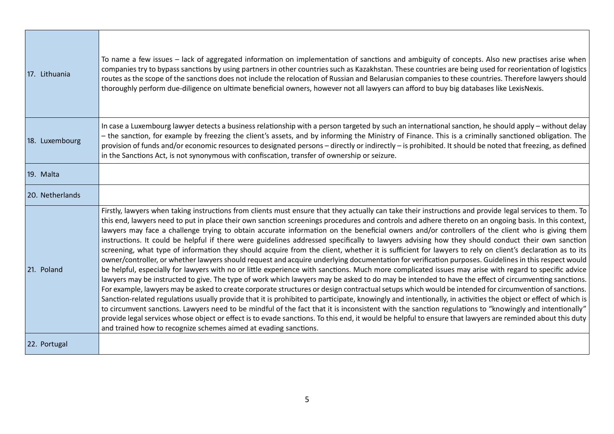| 17. Lithuania   | To name a few issues – lack of aggregated information on implementation of sanctions and ambiguity of concepts. Also new practises arise when<br>companies try to bypass sanctions by using partners in other countries such as Kazakhstan. These countries are being used for reorientation of logistics<br>routes as the scope of the sanctions does not include the relocation of Russian and Belarusian companies to these countries. Therefore lawyers should<br>thoroughly perform due-diligence on ultimate beneficial owners, however not all lawyers can afford to buy big databases like LexisNexis.                                                                                                                                                                                                                                                                                                                                                                                                                                                                                                                                                                                                                                                                                                                                                                                                                                                                                                                                                                                                                                                                                                                                                                                                                                                                                                                                                                    |
|-----------------|-----------------------------------------------------------------------------------------------------------------------------------------------------------------------------------------------------------------------------------------------------------------------------------------------------------------------------------------------------------------------------------------------------------------------------------------------------------------------------------------------------------------------------------------------------------------------------------------------------------------------------------------------------------------------------------------------------------------------------------------------------------------------------------------------------------------------------------------------------------------------------------------------------------------------------------------------------------------------------------------------------------------------------------------------------------------------------------------------------------------------------------------------------------------------------------------------------------------------------------------------------------------------------------------------------------------------------------------------------------------------------------------------------------------------------------------------------------------------------------------------------------------------------------------------------------------------------------------------------------------------------------------------------------------------------------------------------------------------------------------------------------------------------------------------------------------------------------------------------------------------------------------------------------------------------------------------------------------------------------|
| 18. Luxembourg  | In case a Luxembourg lawyer detects a business relationship with a person targeted by such an international sanction, he should apply - without delay<br>- the sanction, for example by freezing the client's assets, and by informing the Ministry of Finance. This is a criminally sanctioned obligation. The<br>provision of funds and/or economic resources to designated persons - directly or indirectly - is prohibited. It should be noted that freezing, as defined<br>in the Sanctions Act, is not synonymous with confiscation, transfer of ownership or seizure.                                                                                                                                                                                                                                                                                                                                                                                                                                                                                                                                                                                                                                                                                                                                                                                                                                                                                                                                                                                                                                                                                                                                                                                                                                                                                                                                                                                                      |
| 19. Malta       |                                                                                                                                                                                                                                                                                                                                                                                                                                                                                                                                                                                                                                                                                                                                                                                                                                                                                                                                                                                                                                                                                                                                                                                                                                                                                                                                                                                                                                                                                                                                                                                                                                                                                                                                                                                                                                                                                                                                                                                   |
| 20. Netherlands |                                                                                                                                                                                                                                                                                                                                                                                                                                                                                                                                                                                                                                                                                                                                                                                                                                                                                                                                                                                                                                                                                                                                                                                                                                                                                                                                                                                                                                                                                                                                                                                                                                                                                                                                                                                                                                                                                                                                                                                   |
| 21. Poland      | Firstly, lawyers when taking instructions from clients must ensure that they actually can take their instructions and provide legal services to them. To<br>this end, lawyers need to put in place their own sanction screenings procedures and controls and adhere thereto on an ongoing basis. In this context,<br>lawyers may face a challenge trying to obtain accurate information on the beneficial owners and/or controllers of the client who is giving them<br>instructions. It could be helpful if there were guidelines addressed specifically to lawyers advising how they should conduct their own sanction<br>screening, what type of information they should acquire from the client, whether it is sufficient for lawyers to rely on client's declaration as to its<br>owner/controller, or whether lawyers should request and acquire underlying documentation for verification purposes. Guidelines in this respect would<br>be helpful, especially for lawyers with no or little experience with sanctions. Much more complicated issues may arise with regard to specific advice<br>lawyers may be instructed to give. The type of work which lawyers may be asked to do may be intended to have the effect of circumventing sanctions.<br>For example, lawyers may be asked to create corporate structures or design contractual setups which would be intended for circumvention of sanctions.<br>Sanction-related regulations usually provide that it is prohibited to participate, knowingly and intentionally, in activities the object or effect of which is<br>to circumvent sanctions. Lawyers need to be mindful of the fact that it is inconsistent with the sanction regulations to "knowingly and intentionally"<br>provide legal services whose object or effect is to evade sanctions. To this end, it would be helpful to ensure that lawyers are reminded about this duty<br>and trained how to recognize schemes aimed at evading sanctions. |
| 22. Portugal    |                                                                                                                                                                                                                                                                                                                                                                                                                                                                                                                                                                                                                                                                                                                                                                                                                                                                                                                                                                                                                                                                                                                                                                                                                                                                                                                                                                                                                                                                                                                                                                                                                                                                                                                                                                                                                                                                                                                                                                                   |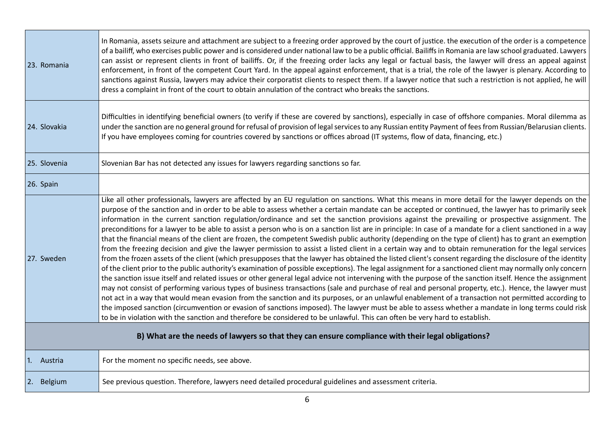| 23. Romania                                                                                       | In Romania, assets seizure and attachment are subject to a freezing order approved by the court of justice. the execution of the order is a competence<br>of a bailiff, who exercises public power and is considered under national law to be a public official. Bailiffs in Romania are law school graduated. Lawyers<br>can assist or represent clients in front of bailiffs. Or, if the freezing order lacks any legal or factual basis, the lawyer will dress an appeal against<br>enforcement, in front of the competent Court Yard. In the appeal against enforcement, that is a trial, the role of the lawyer is plenary. According to<br>sanctions against Russia, lawyers may advice their corporatist clients to respect them. If a lawyer notice that such a restriction is not applied, he will<br>dress a complaint in front of the court to obtain annulation of the contract who breaks the sanctions.                                                                                                                                                                                                                                                                                                                                                                                                                                                                                                                                                                                                                                                                                                                                                                                                                                                                                                                                                                                                                                                                                                              |
|---------------------------------------------------------------------------------------------------|------------------------------------------------------------------------------------------------------------------------------------------------------------------------------------------------------------------------------------------------------------------------------------------------------------------------------------------------------------------------------------------------------------------------------------------------------------------------------------------------------------------------------------------------------------------------------------------------------------------------------------------------------------------------------------------------------------------------------------------------------------------------------------------------------------------------------------------------------------------------------------------------------------------------------------------------------------------------------------------------------------------------------------------------------------------------------------------------------------------------------------------------------------------------------------------------------------------------------------------------------------------------------------------------------------------------------------------------------------------------------------------------------------------------------------------------------------------------------------------------------------------------------------------------------------------------------------------------------------------------------------------------------------------------------------------------------------------------------------------------------------------------------------------------------------------------------------------------------------------------------------------------------------------------------------------------------------------------------------------------------------------------------------|
| 24. Slovakia                                                                                      | Difficulties in identifying beneficial owners (to verify if these are covered by sanctions), especially in case of offshore companies. Moral dilemma as<br>under the sanction are no general ground for refusal of provision of legal services to any Russian entity Payment of fees from Russian/Belarusian clients.<br>If you have employees coming for countries covered by sanctions or offices abroad (IT systems, flow of data, financing, etc.)                                                                                                                                                                                                                                                                                                                                                                                                                                                                                                                                                                                                                                                                                                                                                                                                                                                                                                                                                                                                                                                                                                                                                                                                                                                                                                                                                                                                                                                                                                                                                                             |
| 25. Slovenia                                                                                      | Slovenian Bar has not detected any issues for lawyers regarding sanctions so far.                                                                                                                                                                                                                                                                                                                                                                                                                                                                                                                                                                                                                                                                                                                                                                                                                                                                                                                                                                                                                                                                                                                                                                                                                                                                                                                                                                                                                                                                                                                                                                                                                                                                                                                                                                                                                                                                                                                                                  |
| 26. Spain                                                                                         |                                                                                                                                                                                                                                                                                                                                                                                                                                                                                                                                                                                                                                                                                                                                                                                                                                                                                                                                                                                                                                                                                                                                                                                                                                                                                                                                                                                                                                                                                                                                                                                                                                                                                                                                                                                                                                                                                                                                                                                                                                    |
| 27. Sweden                                                                                        | Like all other professionals, lawyers are affected by an EU regulation on sanctions. What this means in more detail for the lawyer depends on the<br>purpose of the sanction and in order to be able to assess whether a certain mandate can be accepted or continued, the lawyer has to primarily seek<br>information in the current sanction regulation/ordinance and set the sanction provisions against the prevailing or prospective assignment. The<br>preconditions for a lawyer to be able to assist a person who is on a sanction list are in principle: In case of a mandate for a client sanctioned in a way<br>that the financial means of the client are frozen, the competent Swedish public authority (depending on the type of client) has to grant an exemption<br>from the freezing decision and give the lawyer permission to assist a listed client in a certain way and to obtain remuneration for the legal services<br>from the frozen assets of the client (which presupposes that the lawyer has obtained the listed client's consent regarding the disclosure of the identity<br>of the client prior to the public authority's examination of possible exceptions). The legal assignment for a sanctioned client may normally only concern<br>the sanction issue itself and related issues or other general legal advice not intervening with the purpose of the sanction itself. Hence the assignment<br>may not consist of performing various types of business transactions (sale and purchase of real and personal property, etc.). Hence, the lawyer must<br>not act in a way that would mean evasion from the sanction and its purposes, or an unlawful enablement of a transaction not permitted according to<br>the imposed sanction (circumvention or evasion of sanctions imposed). The lawyer must be able to assess whether a mandate in long terms could risk<br>to be in violation with the sanction and therefore be considered to be unlawful. This can often be very hard to establish. |
| B) What are the needs of lawyers so that they can ensure compliance with their legal obligations? |                                                                                                                                                                                                                                                                                                                                                                                                                                                                                                                                                                                                                                                                                                                                                                                                                                                                                                                                                                                                                                                                                                                                                                                                                                                                                                                                                                                                                                                                                                                                                                                                                                                                                                                                                                                                                                                                                                                                                                                                                                    |
| 1. Austria                                                                                        | For the moment no specific needs, see above.                                                                                                                                                                                                                                                                                                                                                                                                                                                                                                                                                                                                                                                                                                                                                                                                                                                                                                                                                                                                                                                                                                                                                                                                                                                                                                                                                                                                                                                                                                                                                                                                                                                                                                                                                                                                                                                                                                                                                                                       |
| 2. Belgium                                                                                        | See previous question. Therefore, lawyers need detailed procedural guidelines and assessment criteria.                                                                                                                                                                                                                                                                                                                                                                                                                                                                                                                                                                                                                                                                                                                                                                                                                                                                                                                                                                                                                                                                                                                                                                                                                                                                                                                                                                                                                                                                                                                                                                                                                                                                                                                                                                                                                                                                                                                             |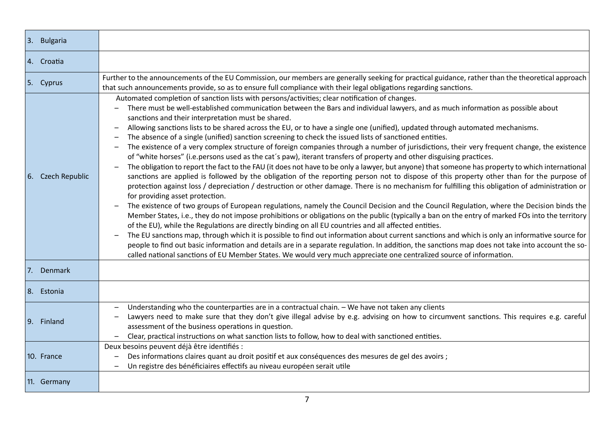| 3. Bulgaria       |                                                                                                                                                                                                                                                                                                                                                                                                                                                                                                                                                                                                                                                                                                                                                                                                                                                                                                                                                                                                                                                                                                                                                                                                                                                                                                                                                                                                                                                                                                                                                                                                                                                                                                                                                                                                                                                                                                                                                                                                                                                                                                                                         |
|-------------------|-----------------------------------------------------------------------------------------------------------------------------------------------------------------------------------------------------------------------------------------------------------------------------------------------------------------------------------------------------------------------------------------------------------------------------------------------------------------------------------------------------------------------------------------------------------------------------------------------------------------------------------------------------------------------------------------------------------------------------------------------------------------------------------------------------------------------------------------------------------------------------------------------------------------------------------------------------------------------------------------------------------------------------------------------------------------------------------------------------------------------------------------------------------------------------------------------------------------------------------------------------------------------------------------------------------------------------------------------------------------------------------------------------------------------------------------------------------------------------------------------------------------------------------------------------------------------------------------------------------------------------------------------------------------------------------------------------------------------------------------------------------------------------------------------------------------------------------------------------------------------------------------------------------------------------------------------------------------------------------------------------------------------------------------------------------------------------------------------------------------------------------------|
| 4. Croatia        |                                                                                                                                                                                                                                                                                                                                                                                                                                                                                                                                                                                                                                                                                                                                                                                                                                                                                                                                                                                                                                                                                                                                                                                                                                                                                                                                                                                                                                                                                                                                                                                                                                                                                                                                                                                                                                                                                                                                                                                                                                                                                                                                         |
| 5. Cyprus         | Further to the announcements of the EU Commission, our members are generally seeking for practical guidance, rather than the theoretical approach<br>that such announcements provide, so as to ensure full compliance with their legal obligations regarding sanctions.                                                                                                                                                                                                                                                                                                                                                                                                                                                                                                                                                                                                                                                                                                                                                                                                                                                                                                                                                                                                                                                                                                                                                                                                                                                                                                                                                                                                                                                                                                                                                                                                                                                                                                                                                                                                                                                                 |
| 6. Czech Republic | Automated completion of sanction lists with persons/activities; clear notification of changes.<br>There must be well-established communication between the Bars and individual lawyers, and as much information as possible about<br>sanctions and their interpretation must be shared.<br>Allowing sanctions lists to be shared across the EU, or to have a single one (unified), updated through automated mechanisms.<br>The absence of a single (unified) sanction screening to check the issued lists of sanctioned entities.<br>The existence of a very complex structure of foreign companies through a number of jurisdictions, their very frequent change, the existence<br>of "white horses" (i.e.persons used as the cat's paw), iterant transfers of property and other disguising practices.<br>The obligation to report the fact to the FAU (it does not have to be only a lawyer, but anyone) that someone has property to which international<br>sanctions are applied is followed by the obligation of the reporting person not to dispose of this property other than for the purpose of<br>protection against loss / depreciation / destruction or other damage. There is no mechanism for fulfilling this obligation of administration or<br>for providing asset protection.<br>The existence of two groups of European regulations, namely the Council Decision and the Council Regulation, where the Decision binds the<br>Member States, i.e., they do not impose prohibitions or obligations on the public (typically a ban on the entry of marked FOs into the territory<br>of the EU), while the Regulations are directly binding on all EU countries and all affected entities.<br>The EU sanctions map, through which it is possible to find out information about current sanctions and which is only an informative source for<br>people to find out basic information and details are in a separate regulation. In addition, the sanctions map does not take into account the so-<br>called national sanctions of EU Member States. We would very much appreciate one centralized source of information. |
| 7. Denmark        |                                                                                                                                                                                                                                                                                                                                                                                                                                                                                                                                                                                                                                                                                                                                                                                                                                                                                                                                                                                                                                                                                                                                                                                                                                                                                                                                                                                                                                                                                                                                                                                                                                                                                                                                                                                                                                                                                                                                                                                                                                                                                                                                         |
| 8. Estonia        |                                                                                                                                                                                                                                                                                                                                                                                                                                                                                                                                                                                                                                                                                                                                                                                                                                                                                                                                                                                                                                                                                                                                                                                                                                                                                                                                                                                                                                                                                                                                                                                                                                                                                                                                                                                                                                                                                                                                                                                                                                                                                                                                         |
| 9. Finland        | Understanding who the counterparties are in a contractual chain. - We have not taken any clients<br>Lawyers need to make sure that they don't give illegal advise by e.g. advising on how to circumvent sanctions. This requires e.g. careful<br>assessment of the business operations in question.<br>Clear, practical instructions on what sanction lists to follow, how to deal with sanctioned entities.                                                                                                                                                                                                                                                                                                                                                                                                                                                                                                                                                                                                                                                                                                                                                                                                                                                                                                                                                                                                                                                                                                                                                                                                                                                                                                                                                                                                                                                                                                                                                                                                                                                                                                                            |
| 10. France        | Deux besoins peuvent déjà être identifiés :<br>Des informations claires quant au droit positif et aux conséquences des mesures de gel des avoirs ;<br>Un registre des bénéficiaires effectifs au niveau européen serait utile                                                                                                                                                                                                                                                                                                                                                                                                                                                                                                                                                                                                                                                                                                                                                                                                                                                                                                                                                                                                                                                                                                                                                                                                                                                                                                                                                                                                                                                                                                                                                                                                                                                                                                                                                                                                                                                                                                           |
| 11. Germany       |                                                                                                                                                                                                                                                                                                                                                                                                                                                                                                                                                                                                                                                                                                                                                                                                                                                                                                                                                                                                                                                                                                                                                                                                                                                                                                                                                                                                                                                                                                                                                                                                                                                                                                                                                                                                                                                                                                                                                                                                                                                                                                                                         |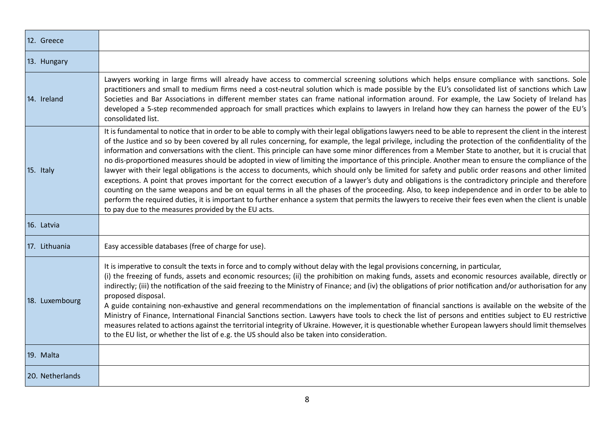| 12. Greece      |                                                                                                                                                                                                                                                                                                                                                                                                                                                                                                                                                                                                                                                                                                                                                                                                                                                                                                                                                                                                                                                                                                                                                                                                                                                                                                                    |
|-----------------|--------------------------------------------------------------------------------------------------------------------------------------------------------------------------------------------------------------------------------------------------------------------------------------------------------------------------------------------------------------------------------------------------------------------------------------------------------------------------------------------------------------------------------------------------------------------------------------------------------------------------------------------------------------------------------------------------------------------------------------------------------------------------------------------------------------------------------------------------------------------------------------------------------------------------------------------------------------------------------------------------------------------------------------------------------------------------------------------------------------------------------------------------------------------------------------------------------------------------------------------------------------------------------------------------------------------|
| 13. Hungary     |                                                                                                                                                                                                                                                                                                                                                                                                                                                                                                                                                                                                                                                                                                                                                                                                                                                                                                                                                                                                                                                                                                                                                                                                                                                                                                                    |
| 14. Ireland     | Lawyers working in large firms will already have access to commercial screening solutions which helps ensure compliance with sanctions. Sole<br>practitioners and small to medium firms need a cost-neutral solution which is made possible by the EU's consolidated list of sanctions which Law<br>Societies and Bar Associations in different member states can frame national information around. For example, the Law Society of Ireland has<br>developed a 5-step recommended approach for small practices which explains to lawyers in Ireland how they can harness the power of the EU's<br>consolidated list.                                                                                                                                                                                                                                                                                                                                                                                                                                                                                                                                                                                                                                                                                              |
| 15. Italy       | It is fundamental to notice that in order to be able to comply with their legal obligations lawyers need to be able to represent the client in the interest<br>of the Justice and so by been covered by all rules concerning, for example, the legal privilege, including the protection of the confidentiality of the<br>information and conversations with the client. This principle can have some minor differences from a Member State to another, but it is crucial that<br>no dis-proportioned measures should be adopted in view of limiting the importance of this principle. Another mean to ensure the compliance of the<br>lawyer with their legal obligations is the access to documents, which should only be limited for safety and public order reasons and other limited<br>exceptions. A point that proves important for the correct execution of a lawyer's duty and obligations is the contradictory principle and therefore<br>counting on the same weapons and be on equal terms in all the phases of the proceeding. Also, to keep independence and in order to be able to<br>perform the required duties, it is important to further enhance a system that permits the lawyers to receive their fees even when the client is unable<br>to pay due to the measures provided by the EU acts. |
| 16. Latvia      |                                                                                                                                                                                                                                                                                                                                                                                                                                                                                                                                                                                                                                                                                                                                                                                                                                                                                                                                                                                                                                                                                                                                                                                                                                                                                                                    |
| 17. Lithuania   | Easy accessible databases (free of charge for use).                                                                                                                                                                                                                                                                                                                                                                                                                                                                                                                                                                                                                                                                                                                                                                                                                                                                                                                                                                                                                                                                                                                                                                                                                                                                |
| 18. Luxembourg  | It is imperative to consult the texts in force and to comply without delay with the legal provisions concerning, in particular,<br>(i) the freezing of funds, assets and economic resources; (ii) the prohibition on making funds, assets and economic resources available, directly or<br>indirectly; (iii) the notification of the said freezing to the Ministry of Finance; and (iv) the obligations of prior notification and/or authorisation for any<br>proposed disposal.<br>A guide containing non-exhaustive and general recommendations on the implementation of financial sanctions is available on the website of the<br>Ministry of Finance, International Financial Sanctions section. Lawyers have tools to check the list of persons and entities subject to EU restrictive<br>measures related to actions against the territorial integrity of Ukraine. However, it is questionable whether European lawyers should limit themselves<br>to the EU list, or whether the list of e.g. the US should also be taken into consideration.                                                                                                                                                                                                                                                               |
| 19. Malta       |                                                                                                                                                                                                                                                                                                                                                                                                                                                                                                                                                                                                                                                                                                                                                                                                                                                                                                                                                                                                                                                                                                                                                                                                                                                                                                                    |
| 20. Netherlands |                                                                                                                                                                                                                                                                                                                                                                                                                                                                                                                                                                                                                                                                                                                                                                                                                                                                                                                                                                                                                                                                                                                                                                                                                                                                                                                    |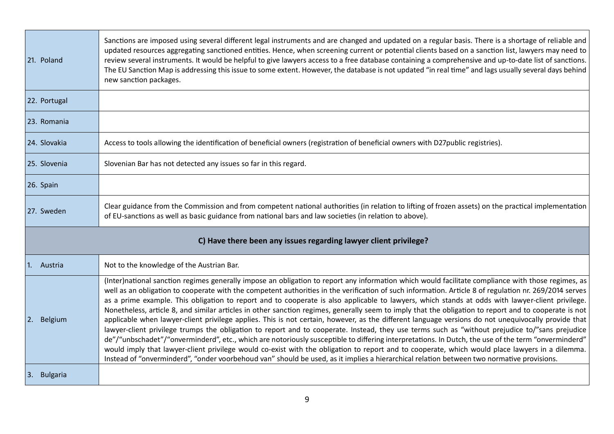| 21. Poland                                                       | Sanctions are imposed using several different legal instruments and are changed and updated on a regular basis. There is a shortage of reliable and<br>updated resources aggregating sanctioned entities. Hence, when screening current or potential clients based on a sanction list, lawyers may need to<br>review several instruments. It would be helpful to give lawyers access to a free database containing a comprehensive and up-to-date list of sanctions.<br>The EU Sanction Map is addressing this issue to some extent. However, the database is not updated "in real time" and lags usually several days behind<br>new sanction packages.                                                                                                                                                                                                                                                                                                                                                                                                                                                                                                                                                                                                                                                                                                                                    |  |
|------------------------------------------------------------------|--------------------------------------------------------------------------------------------------------------------------------------------------------------------------------------------------------------------------------------------------------------------------------------------------------------------------------------------------------------------------------------------------------------------------------------------------------------------------------------------------------------------------------------------------------------------------------------------------------------------------------------------------------------------------------------------------------------------------------------------------------------------------------------------------------------------------------------------------------------------------------------------------------------------------------------------------------------------------------------------------------------------------------------------------------------------------------------------------------------------------------------------------------------------------------------------------------------------------------------------------------------------------------------------------------------------------------------------------------------------------------------------|--|
| 22. Portugal                                                     |                                                                                                                                                                                                                                                                                                                                                                                                                                                                                                                                                                                                                                                                                                                                                                                                                                                                                                                                                                                                                                                                                                                                                                                                                                                                                                                                                                                            |  |
| 23. Romania                                                      |                                                                                                                                                                                                                                                                                                                                                                                                                                                                                                                                                                                                                                                                                                                                                                                                                                                                                                                                                                                                                                                                                                                                                                                                                                                                                                                                                                                            |  |
| 24. Slovakia                                                     | Access to tools allowing the identification of beneficial owners (registration of beneficial owners with D27public registries).                                                                                                                                                                                                                                                                                                                                                                                                                                                                                                                                                                                                                                                                                                                                                                                                                                                                                                                                                                                                                                                                                                                                                                                                                                                            |  |
| 25. Slovenia                                                     | Slovenian Bar has not detected any issues so far in this regard.                                                                                                                                                                                                                                                                                                                                                                                                                                                                                                                                                                                                                                                                                                                                                                                                                                                                                                                                                                                                                                                                                                                                                                                                                                                                                                                           |  |
| 26. Spain                                                        |                                                                                                                                                                                                                                                                                                                                                                                                                                                                                                                                                                                                                                                                                                                                                                                                                                                                                                                                                                                                                                                                                                                                                                                                                                                                                                                                                                                            |  |
| 27. Sweden                                                       | Clear guidance from the Commission and from competent national authorities (in relation to lifting of frozen assets) on the practical implementation<br>of EU-sanctions as well as basic guidance from national bars and law societies (in relation to above).                                                                                                                                                                                                                                                                                                                                                                                                                                                                                                                                                                                                                                                                                                                                                                                                                                                                                                                                                                                                                                                                                                                             |  |
| C) Have there been any issues regarding lawyer client privilege? |                                                                                                                                                                                                                                                                                                                                                                                                                                                                                                                                                                                                                                                                                                                                                                                                                                                                                                                                                                                                                                                                                                                                                                                                                                                                                                                                                                                            |  |
| 1. Austria                                                       | Not to the knowledge of the Austrian Bar.                                                                                                                                                                                                                                                                                                                                                                                                                                                                                                                                                                                                                                                                                                                                                                                                                                                                                                                                                                                                                                                                                                                                                                                                                                                                                                                                                  |  |
| Belgium<br>2.                                                    | (Inter)national sanction regimes generally impose an obligation to report any information which would facilitate compliance with those regimes, as<br>well as an obligation to cooperate with the competent authorities in the verification of such information. Article 8 of regulation nr. 269/2014 serves<br>as a prime example. This obligation to report and to cooperate is also applicable to lawyers, which stands at odds with lawyer-client privilege.<br>Nonetheless, article 8, and similar articles in other sanction regimes, generally seem to imply that the obligation to report and to cooperate is not<br>applicable when lawyer-client privilege applies. This is not certain, however, as the different language versions do not unequivocally provide that<br>lawyer-client privilege trumps the obligation to report and to cooperate. Instead, they use terms such as "without prejudice to/"sans prejudice<br>de"/"unbschadet"/"onverminderd", etc., which are notoriously susceptible to differing interpretations. In Dutch, the use of the term "onverminderd"<br>would imply that lawyer-client privilege would co-exist with the obligation to report and to cooperate, which would place lawyers in a dilemma.<br>Instead of "onverminderd", "onder voorbehoud van" should be used, as it implies a hierarchical relation between two normative provisions. |  |
| 3. Bulgaria                                                      |                                                                                                                                                                                                                                                                                                                                                                                                                                                                                                                                                                                                                                                                                                                                                                                                                                                                                                                                                                                                                                                                                                                                                                                                                                                                                                                                                                                            |  |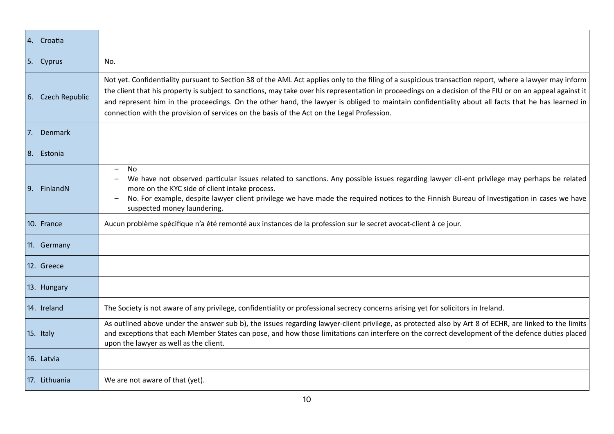| 4. Croatia        |                                                                                                                                                                                                                                                                                                                                                                                                                                                                                                                                                                         |
|-------------------|-------------------------------------------------------------------------------------------------------------------------------------------------------------------------------------------------------------------------------------------------------------------------------------------------------------------------------------------------------------------------------------------------------------------------------------------------------------------------------------------------------------------------------------------------------------------------|
| 5. Cyprus         | No.                                                                                                                                                                                                                                                                                                                                                                                                                                                                                                                                                                     |
| 6. Czech Republic | Not yet. Confidentiality pursuant to Section 38 of the AML Act applies only to the filing of a suspicious transaction report, where a lawyer may inform<br>the client that his property is subject to sanctions, may take over his representation in proceedings on a decision of the FIU or on an appeal against it<br>and represent him in the proceedings. On the other hand, the lawyer is obliged to maintain confidentiality about all facts that he has learned in<br>connection with the provision of services on the basis of the Act on the Legal Profession. |
| 7. Denmark        |                                                                                                                                                                                                                                                                                                                                                                                                                                                                                                                                                                         |
| 8. Estonia        |                                                                                                                                                                                                                                                                                                                                                                                                                                                                                                                                                                         |
| 9. FinlandN       | <b>No</b><br>$\qquad \qquad -$<br>We have not observed particular issues related to sanctions. Any possible issues regarding lawyer cli-ent privilege may perhaps be related<br>more on the KYC side of client intake process.<br>No. For example, despite lawyer client privilege we have made the required notices to the Finnish Bureau of Investigation in cases we have<br>suspected money laundering.                                                                                                                                                             |
| 10. France        | Aucun problème spécifique n'a été remonté aux instances de la profession sur le secret avocat-client à ce jour.                                                                                                                                                                                                                                                                                                                                                                                                                                                         |
| 11. Germany       |                                                                                                                                                                                                                                                                                                                                                                                                                                                                                                                                                                         |
| 12. Greece        |                                                                                                                                                                                                                                                                                                                                                                                                                                                                                                                                                                         |
| 13. Hungary       |                                                                                                                                                                                                                                                                                                                                                                                                                                                                                                                                                                         |
| 14. Ireland       | The Society is not aware of any privilege, confidentiality or professional secrecy concerns arising yet for solicitors in Ireland.                                                                                                                                                                                                                                                                                                                                                                                                                                      |
| 15. Italy         | As outlined above under the answer sub b), the issues regarding lawyer-client privilege, as protected also by Art 8 of ECHR, are linked to the limits<br>and exceptions that each Member States can pose, and how those limitations can interfere on the correct development of the defence duties placed<br>upon the lawyer as well as the client.                                                                                                                                                                                                                     |
| 16. Latvia        |                                                                                                                                                                                                                                                                                                                                                                                                                                                                                                                                                                         |
| 17. Lithuania     | We are not aware of that (yet).                                                                                                                                                                                                                                                                                                                                                                                                                                                                                                                                         |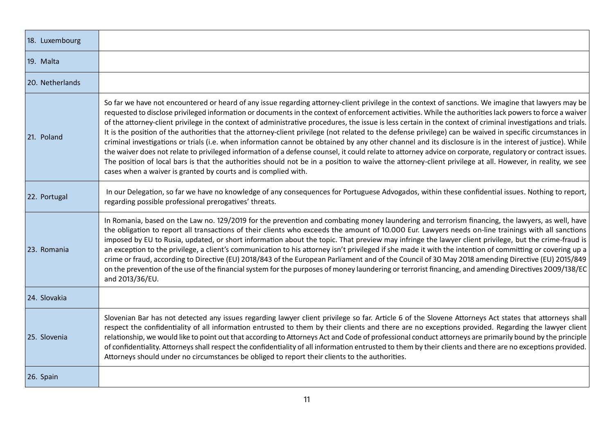| 18. Luxembourg  |                                                                                                                                                                                                                                                                                                                                                                                                                                                                                                                                                                                                                                                                                                                                                                                                                                                                                                                                                                                                                                                                                                                                                                                                          |
|-----------------|----------------------------------------------------------------------------------------------------------------------------------------------------------------------------------------------------------------------------------------------------------------------------------------------------------------------------------------------------------------------------------------------------------------------------------------------------------------------------------------------------------------------------------------------------------------------------------------------------------------------------------------------------------------------------------------------------------------------------------------------------------------------------------------------------------------------------------------------------------------------------------------------------------------------------------------------------------------------------------------------------------------------------------------------------------------------------------------------------------------------------------------------------------------------------------------------------------|
| 19. Malta       |                                                                                                                                                                                                                                                                                                                                                                                                                                                                                                                                                                                                                                                                                                                                                                                                                                                                                                                                                                                                                                                                                                                                                                                                          |
| 20. Netherlands |                                                                                                                                                                                                                                                                                                                                                                                                                                                                                                                                                                                                                                                                                                                                                                                                                                                                                                                                                                                                                                                                                                                                                                                                          |
| 21. Poland      | So far we have not encountered or heard of any issue regarding attorney-client privilege in the context of sanctions. We imagine that lawyers may be<br>requested to disclose privileged information or documents in the context of enforcement activities. While the authorities lack powers to force a waiver<br>of the attorney-client privilege in the context of administrative procedures, the issue is less certain in the context of criminal investigations and trials.<br>It is the position of the authorities that the attorney-client privilege (not related to the defense privilege) can be waived in specific circumstances in<br>criminal investigations or trials (i.e. when information cannot be obtained by any other channel and its disclosure is in the interest of justice). While<br>the waiver does not relate to privileged information of a defense counsel, it could relate to attorney advice on corporate, regulatory or contract issues.<br>The position of local bars is that the authorities should not be in a position to waive the attorney-client privilege at all. However, in reality, we see<br>cases when a waiver is granted by courts and is complied with. |
| 22. Portugal    | In our Delegation, so far we have no knowledge of any consequences for Portuguese Advogados, within these confidential issues. Nothing to report,<br>regarding possible professional prerogatives' threats.                                                                                                                                                                                                                                                                                                                                                                                                                                                                                                                                                                                                                                                                                                                                                                                                                                                                                                                                                                                              |
| 23. Romania     | In Romania, based on the Law no. 129/2019 for the prevention and combating money laundering and terrorism financing, the lawyers, as well, have<br>the obligation to report all transactions of their clients who exceeds the amount of 10.000 Eur. Lawyers needs on-line trainings with all sanctions<br>imposed by EU to Rusia, updated, or short information about the topic. That preview may infringe the lawyer client privilege, but the crime-fraud is<br>an exception to the privilege, a client's communication to his attorney isn't privileged if she made it with the intention of committing or covering up a<br>crime or fraud, according to Directive (EU) 2018/843 of the European Parliament and of the Council of 30 May 2018 amending Directive (EU) 2015/849<br>on the prevention of the use of the financial system for the purposes of money laundering or terrorist financing, and amending Directives 2009/138/EC<br>and 2013/36/EU.                                                                                                                                                                                                                                            |
| 24. Slovakia    |                                                                                                                                                                                                                                                                                                                                                                                                                                                                                                                                                                                                                                                                                                                                                                                                                                                                                                                                                                                                                                                                                                                                                                                                          |
| 25. Slovenia    | Slovenian Bar has not detected any issues regarding lawyer client privilege so far. Article 6 of the Slovene Attorneys Act states that attorneys shall<br>respect the confidentiality of all information entrusted to them by their clients and there are no exceptions provided. Regarding the lawyer client<br>relationship, we would like to point out that according to Attorneys Act and Code of professional conduct attorneys are primarily bound by the principle<br>of confidentiality. Attorneys shall respect the confidentiality of all information entrusted to them by their clients and there are no exceptions provided.<br>Attorneys should under no circumstances be obliged to report their clients to the authorities.                                                                                                                                                                                                                                                                                                                                                                                                                                                               |
| 26. Spain       |                                                                                                                                                                                                                                                                                                                                                                                                                                                                                                                                                                                                                                                                                                                                                                                                                                                                                                                                                                                                                                                                                                                                                                                                          |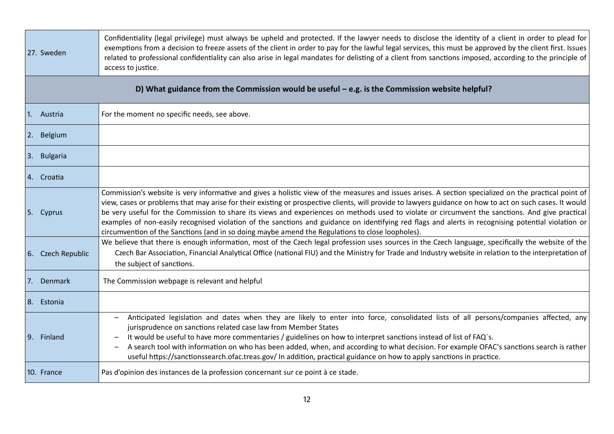| 27. Sweden        | Confidentiality (legal privilege) must always be upheld and protected. If the lawyer needs to disclose the identity of a client in order to plead for<br>exemptions from a decision to freeze assets of the client in order to pay for the lawful legal services, this must be approved by the client first. Issues<br>related to professional confidentiality can also arise in legal mandates for delisting of a client from sanctions imposed, according to the principle of<br>access to justice.                                                                                                                                                                                                                           |
|-------------------|---------------------------------------------------------------------------------------------------------------------------------------------------------------------------------------------------------------------------------------------------------------------------------------------------------------------------------------------------------------------------------------------------------------------------------------------------------------------------------------------------------------------------------------------------------------------------------------------------------------------------------------------------------------------------------------------------------------------------------|
|                   | D) What guidance from the Commission would be useful $-$ e.g. is the Commission website helpful?                                                                                                                                                                                                                                                                                                                                                                                                                                                                                                                                                                                                                                |
| 1. Austria        | For the moment no specific needs, see above.                                                                                                                                                                                                                                                                                                                                                                                                                                                                                                                                                                                                                                                                                    |
| 2. Belgium        |                                                                                                                                                                                                                                                                                                                                                                                                                                                                                                                                                                                                                                                                                                                                 |
| 3. Bulgaria       |                                                                                                                                                                                                                                                                                                                                                                                                                                                                                                                                                                                                                                                                                                                                 |
| 4. Croatia        |                                                                                                                                                                                                                                                                                                                                                                                                                                                                                                                                                                                                                                                                                                                                 |
| 5. Cyprus         | Commission's website is very informative and gives a holistic view of the measures and issues arises. A section specialized on the practical point of<br>view, cases or problems that may arise for their existing or prospective clients, will provide to lawyers guidance on how to act on such cases. It would<br>be very useful for the Commission to share its views and experiences on methods used to violate or circumvent the sanctions. And give practical<br>examples of non-easily recognised violation of the sanctions and guidance on identifying red flags and alerts in recognising potential violation or<br>circumvention of the Sanctions (and in so doing maybe amend the Regulations to close loopholes). |
| 6. Czech Republic | We believe that there is enough information, most of the Czech legal profession uses sources in the Czech language, specifically the website of the<br>Czech Bar Association, Financial Analytical Office (national FIU) and the Ministry for Trade and Industry website in relation to the interpretation of<br>the subject of sanctions.                                                                                                                                                                                                                                                                                                                                                                                      |
| 7. Denmark        | The Commission webpage is relevant and helpful                                                                                                                                                                                                                                                                                                                                                                                                                                                                                                                                                                                                                                                                                  |
| 8. Estonia        |                                                                                                                                                                                                                                                                                                                                                                                                                                                                                                                                                                                                                                                                                                                                 |
| 9. Finland        | Anticipated legislation and dates when they are likely to enter into force, consolidated lists of all persons/companies affected, any<br>jurisprudence on sanctions related case law from Member States<br>It would be useful to have more commentaries / guidelines on how to interpret sanctions instead of list of FAQ's.<br>A search tool with information on who has been added, when, and according to what decision. For example OFAC's sanctions search is rather<br>useful https://sanctionssearch.ofac.treas.gov/ In addition, practical guidance on how to apply sanctions in practice.                                                                                                                              |
| 10. France        | Pas d'opinion des instances de la profession concernant sur ce point à ce stade.                                                                                                                                                                                                                                                                                                                                                                                                                                                                                                                                                                                                                                                |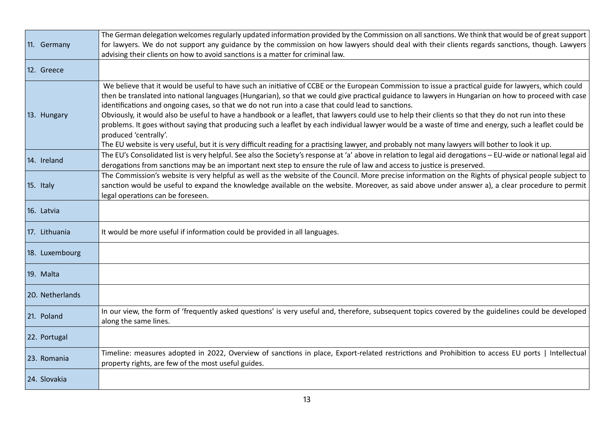| 11. Germany     | The German delegation welcomes regularly updated information provided by the Commission on all sanctions. We think that would be of great support<br>for lawyers. We do not support any guidance by the commission on how lawyers should deal with their clients regards sanctions, though. Lawyers<br>advising their clients on how to avoid sanctions is a matter for criminal law.                                                                                                                                                                                                                                                                                                                                                                                                                                                                                                                            |
|-----------------|------------------------------------------------------------------------------------------------------------------------------------------------------------------------------------------------------------------------------------------------------------------------------------------------------------------------------------------------------------------------------------------------------------------------------------------------------------------------------------------------------------------------------------------------------------------------------------------------------------------------------------------------------------------------------------------------------------------------------------------------------------------------------------------------------------------------------------------------------------------------------------------------------------------|
| 12. Greece      |                                                                                                                                                                                                                                                                                                                                                                                                                                                                                                                                                                                                                                                                                                                                                                                                                                                                                                                  |
| 13. Hungary     | We believe that it would be useful to have such an initiative of CCBE or the European Commission to issue a practical guide for lawyers, which could<br>then be translated into national languages (Hungarian), so that we could give practical guidance to lawyers in Hungarian on how to proceed with case<br>identifications and ongoing cases, so that we do not run into a case that could lead to sanctions.<br>Obviously, it would also be useful to have a handbook or a leaflet, that lawyers could use to help their clients so that they do not run into these<br>problems. It goes without saying that producing such a leaflet by each individual lawyer would be a waste of time and energy, such a leaflet could be<br>produced 'centrally'.<br>The EU website is very useful, but it is very difficult reading for a practising lawyer, and probably not many lawyers will bother to look it up. |
| 14. Ireland     | The EU's Consolidated list is very helpful. See also the Society's response at 'a' above in relation to legal aid derogations - EU-wide or national legal aid<br>derogations from sanctions may be an important next step to ensure the rule of law and access to justice is preserved.                                                                                                                                                                                                                                                                                                                                                                                                                                                                                                                                                                                                                          |
| 15. Italy       | The Commission's website is very helpful as well as the website of the Council. More precise information on the Rights of physical people subject to<br>sanction would be useful to expand the knowledge available on the website. Moreover, as said above under answer a), a clear procedure to permit<br>legal operations can be foreseen.                                                                                                                                                                                                                                                                                                                                                                                                                                                                                                                                                                     |
| 16. Latvia      |                                                                                                                                                                                                                                                                                                                                                                                                                                                                                                                                                                                                                                                                                                                                                                                                                                                                                                                  |
| 17. Lithuania   | It would be more useful if information could be provided in all languages.                                                                                                                                                                                                                                                                                                                                                                                                                                                                                                                                                                                                                                                                                                                                                                                                                                       |
| 18. Luxembourg  |                                                                                                                                                                                                                                                                                                                                                                                                                                                                                                                                                                                                                                                                                                                                                                                                                                                                                                                  |
| 19. Malta       |                                                                                                                                                                                                                                                                                                                                                                                                                                                                                                                                                                                                                                                                                                                                                                                                                                                                                                                  |
| 20. Netherlands |                                                                                                                                                                                                                                                                                                                                                                                                                                                                                                                                                                                                                                                                                                                                                                                                                                                                                                                  |
| 21. Poland      | In our view, the form of 'frequently asked questions' is very useful and, therefore, subsequent topics covered by the guidelines could be developed<br>along the same lines.                                                                                                                                                                                                                                                                                                                                                                                                                                                                                                                                                                                                                                                                                                                                     |
| 22. Portugal    |                                                                                                                                                                                                                                                                                                                                                                                                                                                                                                                                                                                                                                                                                                                                                                                                                                                                                                                  |
| 23. Romania     | Timeline: measures adopted in 2022, Overview of sanctions in place, Export-related restrictions and Prohibition to access EU ports   Intellectual<br>property rights, are few of the most useful guides.                                                                                                                                                                                                                                                                                                                                                                                                                                                                                                                                                                                                                                                                                                         |
| 24. Slovakia    |                                                                                                                                                                                                                                                                                                                                                                                                                                                                                                                                                                                                                                                                                                                                                                                                                                                                                                                  |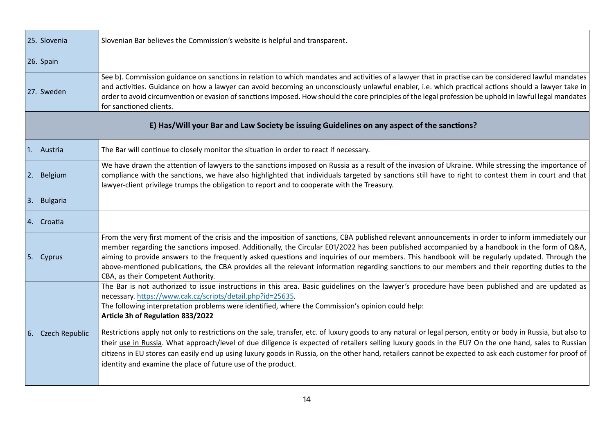| 25. Slovenia                                                                               | Slovenian Bar believes the Commission's website is helpful and transparent.                                                                                                                                                                                                                                                                                                                                                                                                                                                                                                                                                                   |  |
|--------------------------------------------------------------------------------------------|-----------------------------------------------------------------------------------------------------------------------------------------------------------------------------------------------------------------------------------------------------------------------------------------------------------------------------------------------------------------------------------------------------------------------------------------------------------------------------------------------------------------------------------------------------------------------------------------------------------------------------------------------|--|
| 26. Spain                                                                                  |                                                                                                                                                                                                                                                                                                                                                                                                                                                                                                                                                                                                                                               |  |
| 27. Sweden                                                                                 | See b). Commission guidance on sanctions in relation to which mandates and activities of a lawyer that in practise can be considered lawful mandates<br>and activities. Guidance on how a lawyer can avoid becoming an unconsciously unlawful enabler, i.e. which practical actions should a lawyer take in<br>order to avoid circumvention or evasion of sanctions imposed. How should the core principles of the legal profession be uphold in lawful legal mandates<br>for sanctioned clients.                                                                                                                                             |  |
| E) Has/Will your Bar and Law Society be issuing Guidelines on any aspect of the sanctions? |                                                                                                                                                                                                                                                                                                                                                                                                                                                                                                                                                                                                                                               |  |
| 1. Austria                                                                                 | The Bar will continue to closely monitor the situation in order to react if necessary.                                                                                                                                                                                                                                                                                                                                                                                                                                                                                                                                                        |  |
| 2. Belgium                                                                                 | We have drawn the attention of lawyers to the sanctions imposed on Russia as a result of the invasion of Ukraine. While stressing the importance of<br>compliance with the sanctions, we have also highlighted that individuals targeted by sanctions still have to right to contest them in court and that<br>lawyer-client privilege trumps the obligation to report and to cooperate with the Treasury.                                                                                                                                                                                                                                    |  |
| 3. Bulgaria                                                                                |                                                                                                                                                                                                                                                                                                                                                                                                                                                                                                                                                                                                                                               |  |
| 4. Croatia                                                                                 |                                                                                                                                                                                                                                                                                                                                                                                                                                                                                                                                                                                                                                               |  |
| 5. Cyprus                                                                                  | From the very first moment of the crisis and the imposition of sanctions, CBA published relevant announcements in order to inform immediately our<br>member regarding the sanctions imposed. Additionally, the Circular E01/2022 has been published accompanied by a handbook in the form of Q&A,<br>aiming to provide answers to the frequently asked questions and inquiries of our members. This handbook will be regularly updated. Through the<br>above-mentioned publications, the CBA provides all the relevant information regarding sanctions to our members and their reporting duties to the<br>CBA, as their Competent Authority. |  |
|                                                                                            | The Bar is not authorized to issue instructions in this area. Basic guidelines on the lawyer's procedure have been published and are updated as<br>necessary.https://www.cak.cz/scripts/detail.php?id=25635.<br>The following interpretation problems were identified, where the Commission's opinion could help:<br>Article 3h of Regulation 833/2022<br>Restrictions apply not only to restrictions on the sale, transfer, etc. of luxury goods to any natural or legal person, entity or body in Russia, but also to                                                                                                                       |  |
| 6. Czech Republic                                                                          | their use in Russia. What approach/level of due diligence is expected of retailers selling luxury goods in the EU? On the one hand, sales to Russian<br>citizens in EU stores can easily end up using luxury goods in Russia, on the other hand, retailers cannot be expected to ask each customer for proof of<br>identity and examine the place of future use of the product.                                                                                                                                                                                                                                                               |  |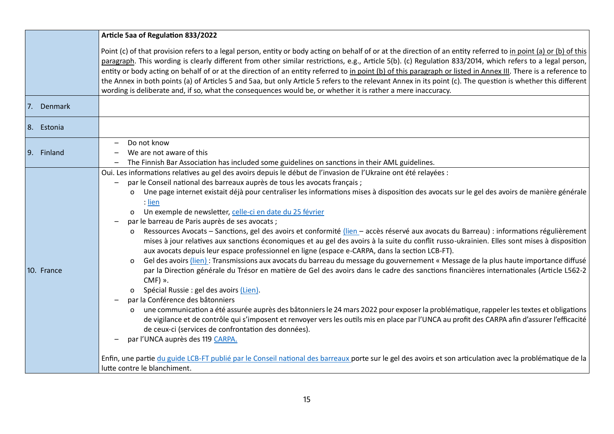| Article 5aa of Regulation 833/2022                                                                                                                                                                                                                                                                                                                                                                                                                                                                                                                                                                                                                                                                                                                                                                                                                                                                                                                                                                                                                                                                                                                                                                                                                                                                                                                                                                                                                                                                                                                                                                                                                                                                                                                                                      |
|-----------------------------------------------------------------------------------------------------------------------------------------------------------------------------------------------------------------------------------------------------------------------------------------------------------------------------------------------------------------------------------------------------------------------------------------------------------------------------------------------------------------------------------------------------------------------------------------------------------------------------------------------------------------------------------------------------------------------------------------------------------------------------------------------------------------------------------------------------------------------------------------------------------------------------------------------------------------------------------------------------------------------------------------------------------------------------------------------------------------------------------------------------------------------------------------------------------------------------------------------------------------------------------------------------------------------------------------------------------------------------------------------------------------------------------------------------------------------------------------------------------------------------------------------------------------------------------------------------------------------------------------------------------------------------------------------------------------------------------------------------------------------------------------|
| Point (c) of that provision refers to a legal person, entity or body acting on behalf of or at the direction of an entity referred to in point (a) or (b) of this<br>paragraph. This wording is clearly different from other similar restrictions, e.g., Article 5(b). (c) Regulation 833/2014, which refers to a legal person,<br>entity or body acting on behalf of or at the direction of an entity referred to in point (b) of this paragraph or listed in Annex III. There is a reference to<br>the Annex in both points (a) of Articles 5 and 5aa, but only Article 5 refers to the relevant Annex in its point (c). The question is whether this different<br>wording is deliberate and, if so, what the consequences would be, or whether it is rather a mere inaccuracy.                                                                                                                                                                                                                                                                                                                                                                                                                                                                                                                                                                                                                                                                                                                                                                                                                                                                                                                                                                                                       |
|                                                                                                                                                                                                                                                                                                                                                                                                                                                                                                                                                                                                                                                                                                                                                                                                                                                                                                                                                                                                                                                                                                                                                                                                                                                                                                                                                                                                                                                                                                                                                                                                                                                                                                                                                                                         |
|                                                                                                                                                                                                                                                                                                                                                                                                                                                                                                                                                                                                                                                                                                                                                                                                                                                                                                                                                                                                                                                                                                                                                                                                                                                                                                                                                                                                                                                                                                                                                                                                                                                                                                                                                                                         |
| We are not aware of this<br>The Finnish Bar Association has included some guidelines on sanctions in their AML guidelines.                                                                                                                                                                                                                                                                                                                                                                                                                                                                                                                                                                                                                                                                                                                                                                                                                                                                                                                                                                                                                                                                                                                                                                                                                                                                                                                                                                                                                                                                                                                                                                                                                                                              |
| Oui. Les informations relatives au gel des avoirs depuis le début de l'invasion de l'Ukraine ont été relayées :<br>par le Conseil national des barreaux auprès de tous les avocats français ;<br>Une page internet existait déjà pour centraliser les informations mises à disposition des avocats sur le gel des avoirs de manière générale<br>Un exemple de newsletter, celle-ci en date du 25 février<br>par le barreau de Paris auprès de ses avocats ;<br>Ressources Avocats – Sanctions, gel des avoirs et conformité <i>(lien –</i> accès réservé aux avocats du Barreau) : informations régulièrement<br>mises à jour relatives aux sanctions économiques et au gel des avoirs à la suite du conflit russo-ukrainien. Elles sont mises à disposition<br>aux avocats depuis leur espace professionnel en ligne (espace e-CARPA, dans la section LCB-FT).<br>Gel des avoirs (lien): Transmissions aux avocats du barreau du message du gouvernement « Message de la plus haute importance diffusé<br>par la Direction générale du Trésor en matière de Gel des avoirs dans le cadre des sanctions financières internationales (Article L562-2<br>Spécial Russie : gel des avoirs (Lien).<br>par la Conférence des bâtonniers<br>une communication a été assurée auprès des bâtonniers le 24 mars 2022 pour exposer la problématique, rappeler les textes et obligations<br>de vigilance et de contrôle qui s'imposent et renvoyer vers les outils mis en place par l'UNCA au profit des CARPA afin d'assurer l'efficacité<br>de ceux-ci (services de confrontation des données).<br>par l'UNCA auprès des 119 CARPA.<br>Enfin, une partie du guide LCB-FT publié par le Conseil national des barreaux porte sur le gel des avoirs et son articulation avec la problématique de la |
| lutte contre le blanchiment.                                                                                                                                                                                                                                                                                                                                                                                                                                                                                                                                                                                                                                                                                                                                                                                                                                                                                                                                                                                                                                                                                                                                                                                                                                                                                                                                                                                                                                                                                                                                                                                                                                                                                                                                                            |
| Do not know<br>$CMF$ ) ».                                                                                                                                                                                                                                                                                                                                                                                                                                                                                                                                                                                                                                                                                                                                                                                                                                                                                                                                                                                                                                                                                                                                                                                                                                                                                                                                                                                                                                                                                                                                                                                                                                                                                                                                                               |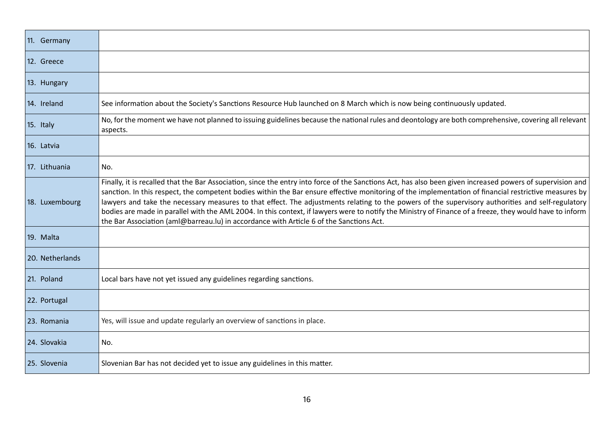| 11. Germany     |                                                                                                                                                                                                                                                                                                                                                                                                                                                                                                                                                                                                                                                                                                                                 |
|-----------------|---------------------------------------------------------------------------------------------------------------------------------------------------------------------------------------------------------------------------------------------------------------------------------------------------------------------------------------------------------------------------------------------------------------------------------------------------------------------------------------------------------------------------------------------------------------------------------------------------------------------------------------------------------------------------------------------------------------------------------|
| 12. Greece      |                                                                                                                                                                                                                                                                                                                                                                                                                                                                                                                                                                                                                                                                                                                                 |
| 13. Hungary     |                                                                                                                                                                                                                                                                                                                                                                                                                                                                                                                                                                                                                                                                                                                                 |
| 14. Ireland     | See information about the Society's Sanctions Resource Hub launched on 8 March which is now being continuously updated.                                                                                                                                                                                                                                                                                                                                                                                                                                                                                                                                                                                                         |
| 15. Italy       | No, for the moment we have not planned to issuing guidelines because the national rules and deontology are both comprehensive, covering all relevant<br>aspects.                                                                                                                                                                                                                                                                                                                                                                                                                                                                                                                                                                |
| 16. Latvia      |                                                                                                                                                                                                                                                                                                                                                                                                                                                                                                                                                                                                                                                                                                                                 |
| 17. Lithuania   | No.                                                                                                                                                                                                                                                                                                                                                                                                                                                                                                                                                                                                                                                                                                                             |
| 18. Luxembourg  | Finally, it is recalled that the Bar Association, since the entry into force of the Sanctions Act, has also been given increased powers of supervision and<br>sanction. In this respect, the competent bodies within the Bar ensure effective monitoring of the implementation of financial restrictive measures by<br>lawyers and take the necessary measures to that effect. The adjustments relating to the powers of the supervisory authorities and self-regulatory<br>bodies are made in parallel with the AML 2004. In this context, if lawyers were to notify the Ministry of Finance of a freeze, they would have to inform<br>the Bar Association (aml@barreau.lu) in accordance with Article 6 of the Sanctions Act. |
| 19. Malta       |                                                                                                                                                                                                                                                                                                                                                                                                                                                                                                                                                                                                                                                                                                                                 |
| 20. Netherlands |                                                                                                                                                                                                                                                                                                                                                                                                                                                                                                                                                                                                                                                                                                                                 |
| 21. Poland      | Local bars have not yet issued any guidelines regarding sanctions.                                                                                                                                                                                                                                                                                                                                                                                                                                                                                                                                                                                                                                                              |
| 22. Portugal    |                                                                                                                                                                                                                                                                                                                                                                                                                                                                                                                                                                                                                                                                                                                                 |
| 23. Romania     | Yes, will issue and update regularly an overview of sanctions in place.                                                                                                                                                                                                                                                                                                                                                                                                                                                                                                                                                                                                                                                         |
| 24. Slovakia    | No.                                                                                                                                                                                                                                                                                                                                                                                                                                                                                                                                                                                                                                                                                                                             |
| 25. Slovenia    | Slovenian Bar has not decided yet to issue any guidelines in this matter.                                                                                                                                                                                                                                                                                                                                                                                                                                                                                                                                                                                                                                                       |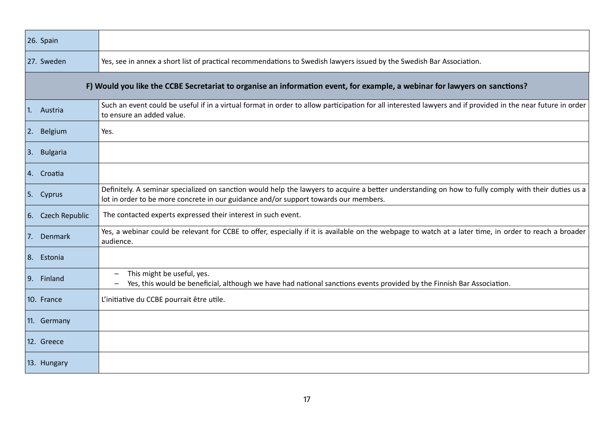| 26. Spain                                                                                                                 |                                                                                                                                                                                                                                              |
|---------------------------------------------------------------------------------------------------------------------------|----------------------------------------------------------------------------------------------------------------------------------------------------------------------------------------------------------------------------------------------|
| 27. Sweden                                                                                                                | Yes, see in annex a short list of practical recommendations to Swedish lawyers issued by the Swedish Bar Association.                                                                                                                        |
| F) Would you like the CCBE Secretariat to organise an information event, for example, a webinar for lawyers on sanctions? |                                                                                                                                                                                                                                              |
| 1.<br>Austria                                                                                                             | Such an event could be useful if in a virtual format in order to allow participation for all interested lawyers and if provided in the near future in order<br>to ensure an added value.                                                     |
| Belgium<br>2.                                                                                                             | Yes.                                                                                                                                                                                                                                         |
| 3. Bulgaria                                                                                                               |                                                                                                                                                                                                                                              |
| 4. Croatia                                                                                                                |                                                                                                                                                                                                                                              |
| 5. Cyprus                                                                                                                 | Definitely. A seminar specialized on sanction would help the lawyers to acquire a better understanding on how to fully comply with their duties us a<br>lot in order to be more concrete in our guidance and/or support towards our members. |
| 6. Czech Republic                                                                                                         | The contacted experts expressed their interest in such event.                                                                                                                                                                                |
| 7.<br>Denmark                                                                                                             | Yes, a webinar could be relevant for CCBE to offer, especially if it is available on the webpage to watch at a later time, in order to reach a broader<br>audience.                                                                          |
| 8. Estonia                                                                                                                |                                                                                                                                                                                                                                              |
| 9.<br>Finland                                                                                                             | This might be useful, yes.<br>Yes, this would be beneficial, although we have had national sanctions events provided by the Finnish Bar Association.                                                                                         |
| 10. France                                                                                                                | L'initiative du CCBE pourrait être utile.                                                                                                                                                                                                    |
| 11. Germany                                                                                                               |                                                                                                                                                                                                                                              |
| 12. Greece                                                                                                                |                                                                                                                                                                                                                                              |
| 13. Hungary                                                                                                               |                                                                                                                                                                                                                                              |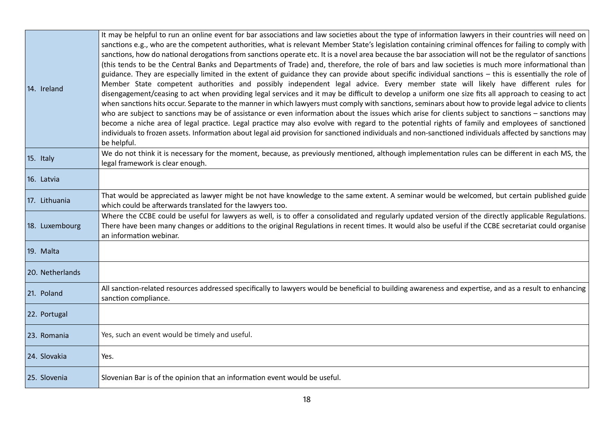| 14. Ireland     | It may be helpful to run an online event for bar associations and law societies about the type of information lawyers in their countries will need on<br>sanctions e.g., who are the competent authorities, what is relevant Member State's legislation containing criminal offences for failing to comply with<br>sanctions, how do national derogations from sanctions operate etc. It is a novel area because the bar association will not be the regulator of sanctions<br>(this tends to be the Central Banks and Departments of Trade) and, therefore, the role of bars and law societies is much more informational than<br>guidance. They are especially limited in the extent of guidance they can provide about specific individual sanctions - this is essentially the role of<br>Member State competent authorities and possibly independent legal advice. Every member state will likely have different rules for<br>disengagement/ceasing to act when providing legal services and it may be difficult to develop a uniform one size fits all approach to ceasing to act<br>when sanctions hits occur. Separate to the manner in which lawyers must comply with sanctions, seminars about how to provide legal advice to clients<br>who are subject to sanctions may be of assistance or even information about the issues which arise for clients subject to sanctions - sanctions may<br>become a niche area of legal practice. Legal practice may also evolve with regard to the potential rights of family and employees of sanctioned<br>individuals to frozen assets. Information about legal aid provision for sanctioned individuals and non-sanctioned individuals affected by sanctions may<br>be helpful. |
|-----------------|------------------------------------------------------------------------------------------------------------------------------------------------------------------------------------------------------------------------------------------------------------------------------------------------------------------------------------------------------------------------------------------------------------------------------------------------------------------------------------------------------------------------------------------------------------------------------------------------------------------------------------------------------------------------------------------------------------------------------------------------------------------------------------------------------------------------------------------------------------------------------------------------------------------------------------------------------------------------------------------------------------------------------------------------------------------------------------------------------------------------------------------------------------------------------------------------------------------------------------------------------------------------------------------------------------------------------------------------------------------------------------------------------------------------------------------------------------------------------------------------------------------------------------------------------------------------------------------------------------------------------------------------------------------------------------------------------------------------------------|
| 15. Italy       | We do not think it is necessary for the moment, because, as previously mentioned, although implementation rules can be different in each MS, the<br>legal framework is clear enough.                                                                                                                                                                                                                                                                                                                                                                                                                                                                                                                                                                                                                                                                                                                                                                                                                                                                                                                                                                                                                                                                                                                                                                                                                                                                                                                                                                                                                                                                                                                                               |
| 16. Latvia      |                                                                                                                                                                                                                                                                                                                                                                                                                                                                                                                                                                                                                                                                                                                                                                                                                                                                                                                                                                                                                                                                                                                                                                                                                                                                                                                                                                                                                                                                                                                                                                                                                                                                                                                                    |
| 17. Lithuania   | That would be appreciated as lawyer might be not have knowledge to the same extent. A seminar would be welcomed, but certain published guide<br>which could be afterwards translated for the lawyers too.                                                                                                                                                                                                                                                                                                                                                                                                                                                                                                                                                                                                                                                                                                                                                                                                                                                                                                                                                                                                                                                                                                                                                                                                                                                                                                                                                                                                                                                                                                                          |
| 18. Luxembourg  | Where the CCBE could be useful for lawyers as well, is to offer a consolidated and regularly updated version of the directly applicable Regulations.<br>There have been many changes or additions to the original Regulations in recent times. It would also be useful if the CCBE secretariat could organise<br>an information webinar.                                                                                                                                                                                                                                                                                                                                                                                                                                                                                                                                                                                                                                                                                                                                                                                                                                                                                                                                                                                                                                                                                                                                                                                                                                                                                                                                                                                           |
| 19. Malta       |                                                                                                                                                                                                                                                                                                                                                                                                                                                                                                                                                                                                                                                                                                                                                                                                                                                                                                                                                                                                                                                                                                                                                                                                                                                                                                                                                                                                                                                                                                                                                                                                                                                                                                                                    |
| 20. Netherlands |                                                                                                                                                                                                                                                                                                                                                                                                                                                                                                                                                                                                                                                                                                                                                                                                                                                                                                                                                                                                                                                                                                                                                                                                                                                                                                                                                                                                                                                                                                                                                                                                                                                                                                                                    |
| 21. Poland      | All sanction-related resources addressed specifically to lawyers would be beneficial to building awareness and expertise, and as a result to enhancing<br>sanction compliance.                                                                                                                                                                                                                                                                                                                                                                                                                                                                                                                                                                                                                                                                                                                                                                                                                                                                                                                                                                                                                                                                                                                                                                                                                                                                                                                                                                                                                                                                                                                                                     |
| 22. Portugal    |                                                                                                                                                                                                                                                                                                                                                                                                                                                                                                                                                                                                                                                                                                                                                                                                                                                                                                                                                                                                                                                                                                                                                                                                                                                                                                                                                                                                                                                                                                                                                                                                                                                                                                                                    |
| 23. Romania     | Yes, such an event would be timely and useful.                                                                                                                                                                                                                                                                                                                                                                                                                                                                                                                                                                                                                                                                                                                                                                                                                                                                                                                                                                                                                                                                                                                                                                                                                                                                                                                                                                                                                                                                                                                                                                                                                                                                                     |
| 24. Slovakia    | Yes.                                                                                                                                                                                                                                                                                                                                                                                                                                                                                                                                                                                                                                                                                                                                                                                                                                                                                                                                                                                                                                                                                                                                                                                                                                                                                                                                                                                                                                                                                                                                                                                                                                                                                                                               |
| 25. Slovenia    | Slovenian Bar is of the opinion that an information event would be useful.                                                                                                                                                                                                                                                                                                                                                                                                                                                                                                                                                                                                                                                                                                                                                                                                                                                                                                                                                                                                                                                                                                                                                                                                                                                                                                                                                                                                                                                                                                                                                                                                                                                         |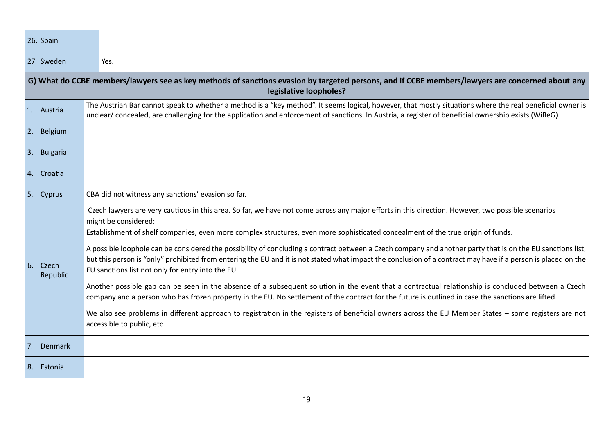|    | 26. Spain                                                                                                                                                                  |                                                                                                                                                                                                                                                                                                                                                                                                                                                                                                                                                                                                                                                                                                                                                                                                                                                                                                                                                                                                                                                                                                                                                                                                       |  |
|----|----------------------------------------------------------------------------------------------------------------------------------------------------------------------------|-------------------------------------------------------------------------------------------------------------------------------------------------------------------------------------------------------------------------------------------------------------------------------------------------------------------------------------------------------------------------------------------------------------------------------------------------------------------------------------------------------------------------------------------------------------------------------------------------------------------------------------------------------------------------------------------------------------------------------------------------------------------------------------------------------------------------------------------------------------------------------------------------------------------------------------------------------------------------------------------------------------------------------------------------------------------------------------------------------------------------------------------------------------------------------------------------------|--|
|    | 27. Sweden                                                                                                                                                                 | Yes.                                                                                                                                                                                                                                                                                                                                                                                                                                                                                                                                                                                                                                                                                                                                                                                                                                                                                                                                                                                                                                                                                                                                                                                                  |  |
|    | G) What do CCBE members/lawyers see as key methods of sanctions evasion by targeted persons, and if CCBE members/lawyers are concerned about any<br>legislative loopholes? |                                                                                                                                                                                                                                                                                                                                                                                                                                                                                                                                                                                                                                                                                                                                                                                                                                                                                                                                                                                                                                                                                                                                                                                                       |  |
| 1. | Austria                                                                                                                                                                    | The Austrian Bar cannot speak to whether a method is a "key method". It seems logical, however, that mostly situations where the real beneficial owner is<br>unclear/concealed, are challenging for the application and enforcement of sanctions. In Austria, a register of beneficial ownership exists (WiReG)                                                                                                                                                                                                                                                                                                                                                                                                                                                                                                                                                                                                                                                                                                                                                                                                                                                                                       |  |
|    | 2. Belgium                                                                                                                                                                 |                                                                                                                                                                                                                                                                                                                                                                                                                                                                                                                                                                                                                                                                                                                                                                                                                                                                                                                                                                                                                                                                                                                                                                                                       |  |
| 3. | <b>Bulgaria</b>                                                                                                                                                            |                                                                                                                                                                                                                                                                                                                                                                                                                                                                                                                                                                                                                                                                                                                                                                                                                                                                                                                                                                                                                                                                                                                                                                                                       |  |
|    | 4. Croatia                                                                                                                                                                 |                                                                                                                                                                                                                                                                                                                                                                                                                                                                                                                                                                                                                                                                                                                                                                                                                                                                                                                                                                                                                                                                                                                                                                                                       |  |
| 5. | Cyprus                                                                                                                                                                     | CBA did not witness any sanctions' evasion so far.                                                                                                                                                                                                                                                                                                                                                                                                                                                                                                                                                                                                                                                                                                                                                                                                                                                                                                                                                                                                                                                                                                                                                    |  |
| 6. | Czech<br>Republic                                                                                                                                                          | Czech lawyers are very cautious in this area. So far, we have not come across any major efforts in this direction. However, two possible scenarios<br>might be considered:<br>Establishment of shelf companies, even more complex structures, even more sophisticated concealment of the true origin of funds.<br>A possible loophole can be considered the possibility of concluding a contract between a Czech company and another party that is on the EU sanctions list,<br>but this person is "only" prohibited from entering the EU and it is not stated what impact the conclusion of a contract may have if a person is placed on the<br>EU sanctions list not only for entry into the EU.<br>Another possible gap can be seen in the absence of a subsequent solution in the event that a contractual relationship is concluded between a Czech<br>company and a person who has frozen property in the EU. No settlement of the contract for the future is outlined in case the sanctions are lifted.<br>We also see problems in different approach to registration in the registers of beneficial owners across the EU Member States - some registers are not<br>accessible to public, etc. |  |
| 7. | Denmark                                                                                                                                                                    |                                                                                                                                                                                                                                                                                                                                                                                                                                                                                                                                                                                                                                                                                                                                                                                                                                                                                                                                                                                                                                                                                                                                                                                                       |  |
| 8. | Estonia                                                                                                                                                                    |                                                                                                                                                                                                                                                                                                                                                                                                                                                                                                                                                                                                                                                                                                                                                                                                                                                                                                                                                                                                                                                                                                                                                                                                       |  |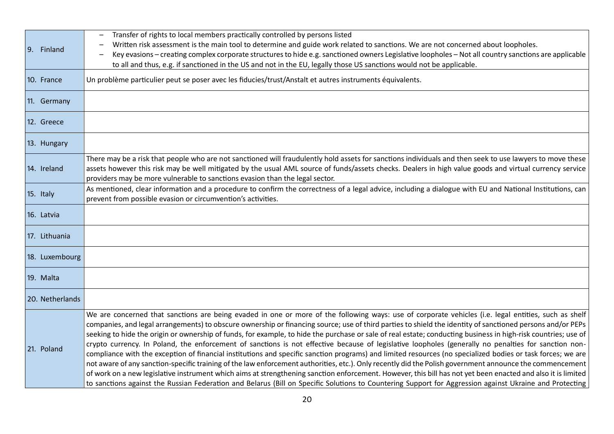| 9. Finland      | Transfer of rights to local members practically controlled by persons listed<br>Written risk assessment is the main tool to determine and guide work related to sanctions. We are not concerned about loopholes.<br>Key evasions – creating complex corporate structures to hide e.g. sanctioned owners Legislative loopholes – Not all country sanctions are applicable<br>to all and thus, e.g. if sanctioned in the US and not in the EU, legally those US sanctions would not be applicable.                                                                                                                                                                                                                                                                                                                                                                                                                                                                                                                                                                                                                                                                                                                                                                                                   |
|-----------------|----------------------------------------------------------------------------------------------------------------------------------------------------------------------------------------------------------------------------------------------------------------------------------------------------------------------------------------------------------------------------------------------------------------------------------------------------------------------------------------------------------------------------------------------------------------------------------------------------------------------------------------------------------------------------------------------------------------------------------------------------------------------------------------------------------------------------------------------------------------------------------------------------------------------------------------------------------------------------------------------------------------------------------------------------------------------------------------------------------------------------------------------------------------------------------------------------------------------------------------------------------------------------------------------------|
| 10. France      | Un problème particulier peut se poser avec les fiducies/trust/Anstalt et autres instruments équivalents.                                                                                                                                                                                                                                                                                                                                                                                                                                                                                                                                                                                                                                                                                                                                                                                                                                                                                                                                                                                                                                                                                                                                                                                           |
| 11. Germany     |                                                                                                                                                                                                                                                                                                                                                                                                                                                                                                                                                                                                                                                                                                                                                                                                                                                                                                                                                                                                                                                                                                                                                                                                                                                                                                    |
| 12. Greece      |                                                                                                                                                                                                                                                                                                                                                                                                                                                                                                                                                                                                                                                                                                                                                                                                                                                                                                                                                                                                                                                                                                                                                                                                                                                                                                    |
| 13. Hungary     |                                                                                                                                                                                                                                                                                                                                                                                                                                                                                                                                                                                                                                                                                                                                                                                                                                                                                                                                                                                                                                                                                                                                                                                                                                                                                                    |
| 14. Ireland     | There may be a risk that people who are not sanctioned will fraudulently hold assets for sanctions individuals and then seek to use lawyers to move these<br>assets however this risk may be well mitigated by the usual AML source of funds/assets checks. Dealers in high value goods and virtual currency service<br>providers may be more vulnerable to sanctions evasion than the legal sector.                                                                                                                                                                                                                                                                                                                                                                                                                                                                                                                                                                                                                                                                                                                                                                                                                                                                                               |
| 15. Italy       | As mentioned, clear information and a procedure to confirm the correctness of a legal advice, including a dialogue with EU and National Institutions, can<br>prevent from possible evasion or circumvention's activities.                                                                                                                                                                                                                                                                                                                                                                                                                                                                                                                                                                                                                                                                                                                                                                                                                                                                                                                                                                                                                                                                          |
| 16. Latvia      |                                                                                                                                                                                                                                                                                                                                                                                                                                                                                                                                                                                                                                                                                                                                                                                                                                                                                                                                                                                                                                                                                                                                                                                                                                                                                                    |
| 17. Lithuania   |                                                                                                                                                                                                                                                                                                                                                                                                                                                                                                                                                                                                                                                                                                                                                                                                                                                                                                                                                                                                                                                                                                                                                                                                                                                                                                    |
| 18. Luxembourg  |                                                                                                                                                                                                                                                                                                                                                                                                                                                                                                                                                                                                                                                                                                                                                                                                                                                                                                                                                                                                                                                                                                                                                                                                                                                                                                    |
| 19. Malta       |                                                                                                                                                                                                                                                                                                                                                                                                                                                                                                                                                                                                                                                                                                                                                                                                                                                                                                                                                                                                                                                                                                                                                                                                                                                                                                    |
| 20. Netherlands |                                                                                                                                                                                                                                                                                                                                                                                                                                                                                                                                                                                                                                                                                                                                                                                                                                                                                                                                                                                                                                                                                                                                                                                                                                                                                                    |
| 21. Poland      | We are concerned that sanctions are being evaded in one or more of the following ways: use of corporate vehicles (i.e. legal entities, such as shelf<br>companies, and legal arrangements) to obscure ownership or financing source; use of third parties to shield the identity of sanctioned persons and/or PEPs<br>seeking to hide the origin or ownership of funds, for example, to hide the purchase or sale of real estate; conducting business in high-risk countries; use of<br>crypto currency. In Poland, the enforcement of sanctions is not effective because of legislative loopholes (generally no penalties for sanction non-<br>compliance with the exception of financial institutions and specific sanction programs) and limited resources (no specialized bodies or task forces; we are<br>not aware of any sanction-specific training of the law enforcement authorities, etc.). Only recently did the Polish government announce the commencement<br>of work on a new legislative instrument which aims at strengthening sanction enforcement. However, this bill has not yet been enacted and also it is limited<br>to sanctions against the Russian Federation and Belarus (Bill on Specific Solutions to Countering Support for Aggression against Ukraine and Protecting |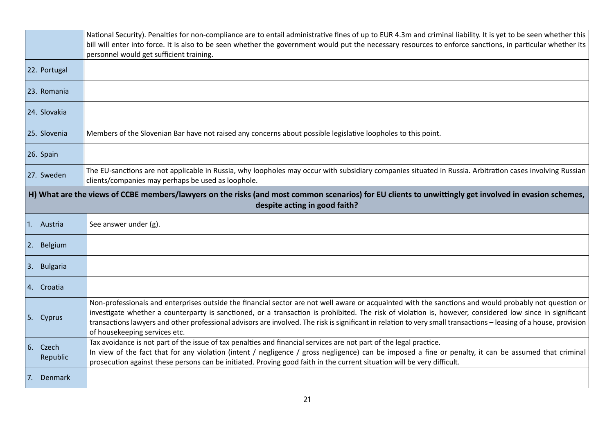|                                                                                                                                                                                        | National Security). Penalties for non-compliance are to entail administrative fines of up to EUR 4.3m and criminal liability. It is yet to be seen whether this<br>bill will enter into force. It is also to be seen whether the government would put the necessary resources to enforce sanctions, in particular whether its<br>personnel would get sufficient training.                                                                                                                                               |  |
|----------------------------------------------------------------------------------------------------------------------------------------------------------------------------------------|-------------------------------------------------------------------------------------------------------------------------------------------------------------------------------------------------------------------------------------------------------------------------------------------------------------------------------------------------------------------------------------------------------------------------------------------------------------------------------------------------------------------------|--|
| 22. Portugal                                                                                                                                                                           |                                                                                                                                                                                                                                                                                                                                                                                                                                                                                                                         |  |
| 23. Romania                                                                                                                                                                            |                                                                                                                                                                                                                                                                                                                                                                                                                                                                                                                         |  |
| 24. Slovakia                                                                                                                                                                           |                                                                                                                                                                                                                                                                                                                                                                                                                                                                                                                         |  |
| 25. Slovenia                                                                                                                                                                           | Members of the Slovenian Bar have not raised any concerns about possible legislative loopholes to this point.                                                                                                                                                                                                                                                                                                                                                                                                           |  |
| 26. Spain                                                                                                                                                                              |                                                                                                                                                                                                                                                                                                                                                                                                                                                                                                                         |  |
| 27. Sweden                                                                                                                                                                             | The EU-sanctions are not applicable in Russia, why loopholes may occur with subsidiary companies situated in Russia. Arbitration cases involving Russian<br>clients/companies may perhaps be used as loophole.                                                                                                                                                                                                                                                                                                          |  |
| H) What are the views of CCBE members/lawyers on the risks (and most common scenarios) for EU clients to unwittingly get involved in evasion schemes,<br>despite acting in good faith? |                                                                                                                                                                                                                                                                                                                                                                                                                                                                                                                         |  |
|                                                                                                                                                                                        |                                                                                                                                                                                                                                                                                                                                                                                                                                                                                                                         |  |
| 1. Austria                                                                                                                                                                             | See answer under (g).                                                                                                                                                                                                                                                                                                                                                                                                                                                                                                   |  |
| 2. Belgium                                                                                                                                                                             |                                                                                                                                                                                                                                                                                                                                                                                                                                                                                                                         |  |
| 3. Bulgaria                                                                                                                                                                            |                                                                                                                                                                                                                                                                                                                                                                                                                                                                                                                         |  |
| 4. Croatia                                                                                                                                                                             |                                                                                                                                                                                                                                                                                                                                                                                                                                                                                                                         |  |
| 5. Cyprus                                                                                                                                                                              | Non-professionals and enterprises outside the financial sector are not well aware or acquainted with the sanctions and would probably not question or<br>investigate whether a counterparty is sanctioned, or a transaction is prohibited. The risk of violation is, however, considered low since in significant<br>transactions lawyers and other professional advisors are involved. The risk is significant in relation to very small transactions - leasing of a house, provision<br>of housekeeping services etc. |  |
| 6. Czech<br>Republic                                                                                                                                                                   | Tax avoidance is not part of the issue of tax penalties and financial services are not part of the legal practice.<br>In view of the fact that for any violation (intent / negligence / gross negligence) can be imposed a fine or penalty, it can be assumed that criminal<br>prosecution against these persons can be initiated. Proving good faith in the current situation will be very difficult.                                                                                                                  |  |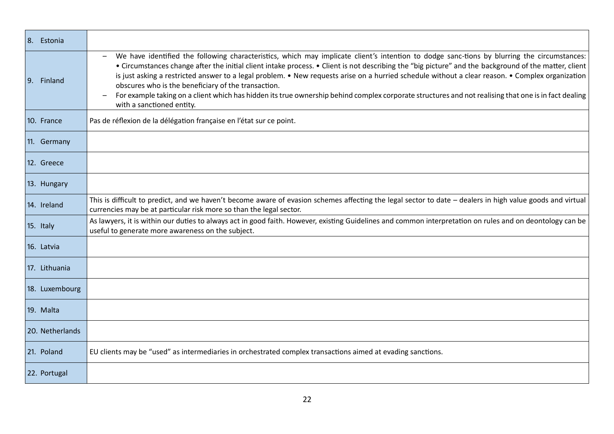| 8. Estonia      |                                                                                                                                                                                                                                                                                                                                                                                                                                                                                                                                                                                                                                                                                                      |
|-----------------|------------------------------------------------------------------------------------------------------------------------------------------------------------------------------------------------------------------------------------------------------------------------------------------------------------------------------------------------------------------------------------------------------------------------------------------------------------------------------------------------------------------------------------------------------------------------------------------------------------------------------------------------------------------------------------------------------|
| 9.<br>Finland   | We have identified the following characteristics, which may implicate client's intention to dodge sanc-tions by blurring the circumstances:<br>• Circumstances change after the initial client intake process. • Client is not describing the "big picture" and the background of the matter, client<br>is just asking a restricted answer to a legal problem. • New requests arise on a hurried schedule without a clear reason. • Complex organization<br>obscures who is the beneficiary of the transaction.<br>For example taking on a client which has hidden its true ownership behind complex corporate structures and not realising that one is in fact dealing<br>with a sanctioned entity. |
| 10. France      | Pas de réflexion de la délégation française en l'état sur ce point.                                                                                                                                                                                                                                                                                                                                                                                                                                                                                                                                                                                                                                  |
| 11. Germany     |                                                                                                                                                                                                                                                                                                                                                                                                                                                                                                                                                                                                                                                                                                      |
| 12. Greece      |                                                                                                                                                                                                                                                                                                                                                                                                                                                                                                                                                                                                                                                                                                      |
| 13. Hungary     |                                                                                                                                                                                                                                                                                                                                                                                                                                                                                                                                                                                                                                                                                                      |
| 14. Ireland     | This is difficult to predict, and we haven't become aware of evasion schemes affecting the legal sector to date - dealers in high value goods and virtual<br>currencies may be at particular risk more so than the legal sector.                                                                                                                                                                                                                                                                                                                                                                                                                                                                     |
| 15. Italy       | As lawyers, it is within our duties to always act in good faith. However, existing Guidelines and common interpretation on rules and on deontology can be<br>useful to generate more awareness on the subject.                                                                                                                                                                                                                                                                                                                                                                                                                                                                                       |
| 16. Latvia      |                                                                                                                                                                                                                                                                                                                                                                                                                                                                                                                                                                                                                                                                                                      |
| 17. Lithuania   |                                                                                                                                                                                                                                                                                                                                                                                                                                                                                                                                                                                                                                                                                                      |
| 18. Luxembourg  |                                                                                                                                                                                                                                                                                                                                                                                                                                                                                                                                                                                                                                                                                                      |
| 19. Malta       |                                                                                                                                                                                                                                                                                                                                                                                                                                                                                                                                                                                                                                                                                                      |
| 20. Netherlands |                                                                                                                                                                                                                                                                                                                                                                                                                                                                                                                                                                                                                                                                                                      |
| 21. Poland      | EU clients may be "used" as intermediaries in orchestrated complex transactions aimed at evading sanctions.                                                                                                                                                                                                                                                                                                                                                                                                                                                                                                                                                                                          |
| 22. Portugal    |                                                                                                                                                                                                                                                                                                                                                                                                                                                                                                                                                                                                                                                                                                      |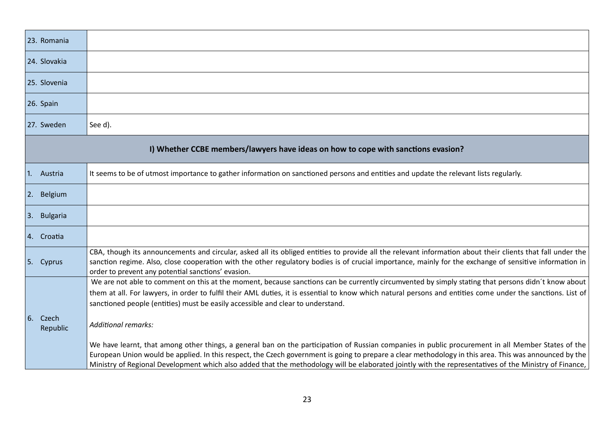| 23. Romania             |                                                                                                                                                                                                                                                                                                                                                                                                                                                                        |  |  |
|-------------------------|------------------------------------------------------------------------------------------------------------------------------------------------------------------------------------------------------------------------------------------------------------------------------------------------------------------------------------------------------------------------------------------------------------------------------------------------------------------------|--|--|
| 24. Slovakia            |                                                                                                                                                                                                                                                                                                                                                                                                                                                                        |  |  |
| 25. Slovenia            |                                                                                                                                                                                                                                                                                                                                                                                                                                                                        |  |  |
| 26. Spain               |                                                                                                                                                                                                                                                                                                                                                                                                                                                                        |  |  |
| 27. Sweden              | See d).                                                                                                                                                                                                                                                                                                                                                                                                                                                                |  |  |
|                         | I) Whether CCBE members/lawyers have ideas on how to cope with sanctions evasion?                                                                                                                                                                                                                                                                                                                                                                                      |  |  |
| 1. Austria              | It seems to be of utmost importance to gather information on sanctioned persons and entities and update the relevant lists regularly.                                                                                                                                                                                                                                                                                                                                  |  |  |
| 2. Belgium              |                                                                                                                                                                                                                                                                                                                                                                                                                                                                        |  |  |
| 3. Bulgaria             |                                                                                                                                                                                                                                                                                                                                                                                                                                                                        |  |  |
| 4. Croatia              |                                                                                                                                                                                                                                                                                                                                                                                                                                                                        |  |  |
| 5. Cyprus               | CBA, though its announcements and circular, asked all its obliged entities to provide all the relevant information about their clients that fall under the<br>sanction regime. Also, close cooperation with the other regulatory bodies is of crucial importance, mainly for the exchange of sensitive information in<br>order to prevent any potential sanctions' evasion.                                                                                            |  |  |
|                         | We are not able to comment on this at the moment, because sanctions can be currently circumvented by simply stating that persons didn't know about<br>them at all. For lawyers, in order to fulfil their AML duties, it is essential to know which natural persons and entities come under the sanctions. List of<br>sanctioned people (entities) must be easily accessible and clear to understand.                                                                   |  |  |
| 6.<br>Czech<br>Republic | <b>Additional remarks:</b>                                                                                                                                                                                                                                                                                                                                                                                                                                             |  |  |
|                         | We have learnt, that among other things, a general ban on the participation of Russian companies in public procurement in all Member States of the<br>European Union would be applied. In this respect, the Czech government is going to prepare a clear methodology in this area. This was announced by the<br>Ministry of Regional Development which also added that the methodology will be elaborated jointly with the representatives of the Ministry of Finance, |  |  |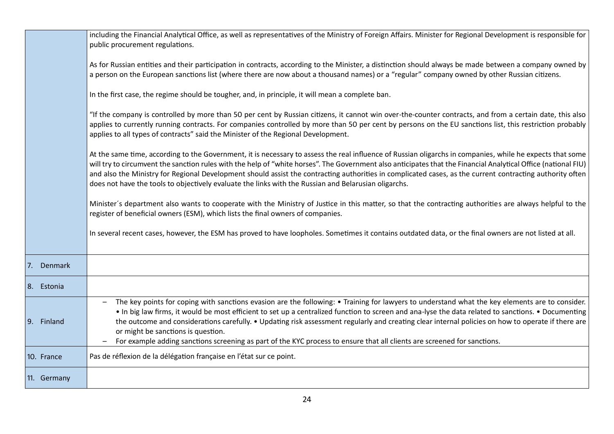|             | including the Financial Analytical Office, as well as representatives of the Ministry of Foreign Affairs. Minister for Regional Development is responsible for<br>public procurement regulations.                                                                                                                                                                                                                                                                                                                                                                                                                              |
|-------------|--------------------------------------------------------------------------------------------------------------------------------------------------------------------------------------------------------------------------------------------------------------------------------------------------------------------------------------------------------------------------------------------------------------------------------------------------------------------------------------------------------------------------------------------------------------------------------------------------------------------------------|
|             | As for Russian entities and their participation in contracts, according to the Minister, a distinction should always be made between a company owned by<br>a person on the European sanctions list (where there are now about a thousand names) or a "regular" company owned by other Russian citizens.                                                                                                                                                                                                                                                                                                                        |
|             | In the first case, the regime should be tougher, and, in principle, it will mean a complete ban.                                                                                                                                                                                                                                                                                                                                                                                                                                                                                                                               |
|             | "If the company is controlled by more than 50 per cent by Russian citizens, it cannot win over-the-counter contracts, and from a certain date, this also<br>applies to currently running contracts. For companies controlled by more than 50 per cent by persons on the EU sanctions list, this restriction probably<br>applies to all types of contracts" said the Minister of the Regional Development.                                                                                                                                                                                                                      |
|             | At the same time, according to the Government, it is necessary to assess the real influence of Russian oligarchs in companies, while he expects that some<br>will try to circumvent the sanction rules with the help of "white horses". The Government also anticipates that the Financial Analytical Office (national FIU)<br>and also the Ministry for Regional Development should assist the contracting authorities in complicated cases, as the current contracting authority often<br>does not have the tools to objectively evaluate the links with the Russian and Belarusian oligarchs.                               |
|             | Minister's department also wants to cooperate with the Ministry of Justice in this matter, so that the contracting authorities are always helpful to the<br>register of beneficial owners (ESM), which lists the final owners of companies.                                                                                                                                                                                                                                                                                                                                                                                    |
|             | In several recent cases, however, the ESM has proved to have loopholes. Sometimes it contains outdated data, or the final owners are not listed at all.                                                                                                                                                                                                                                                                                                                                                                                                                                                                        |
| Denmark     |                                                                                                                                                                                                                                                                                                                                                                                                                                                                                                                                                                                                                                |
| 8. Estonia  |                                                                                                                                                                                                                                                                                                                                                                                                                                                                                                                                                                                                                                |
| 9. Finland  | The key points for coping with sanctions evasion are the following: • Training for lawyers to understand what the key elements are to consider.<br>• In big law firms, it would be most efficient to set up a centralized function to screen and ana-lyse the data related to sanctions. • Documenting<br>the outcome and considerations carefully. • Updating risk assessment regularly and creating clear internal policies on how to operate if there are<br>or might be sanctions is question.<br>For example adding sanctions screening as part of the KYC process to ensure that all clients are screened for sanctions. |
| 10. France  | Pas de réflexion de la délégation française en l'état sur ce point.                                                                                                                                                                                                                                                                                                                                                                                                                                                                                                                                                            |
| 11. Germany |                                                                                                                                                                                                                                                                                                                                                                                                                                                                                                                                                                                                                                |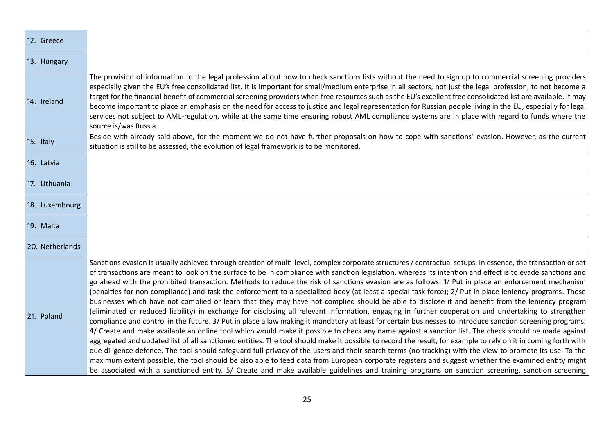| 12. Greece      |                                                                                                                                                                                                                                                                                                                                                                                                                                                                                                                                                                                                                                                                                                                                                                                                                                                                                                                                                                                                                                                                                                                                                                                                                                                                                                                                                                                                                                                                                                                                                                                                                                                                                                                                                                                                                                                                                                                   |
|-----------------|-------------------------------------------------------------------------------------------------------------------------------------------------------------------------------------------------------------------------------------------------------------------------------------------------------------------------------------------------------------------------------------------------------------------------------------------------------------------------------------------------------------------------------------------------------------------------------------------------------------------------------------------------------------------------------------------------------------------------------------------------------------------------------------------------------------------------------------------------------------------------------------------------------------------------------------------------------------------------------------------------------------------------------------------------------------------------------------------------------------------------------------------------------------------------------------------------------------------------------------------------------------------------------------------------------------------------------------------------------------------------------------------------------------------------------------------------------------------------------------------------------------------------------------------------------------------------------------------------------------------------------------------------------------------------------------------------------------------------------------------------------------------------------------------------------------------------------------------------------------------------------------------------------------------|
| 13. Hungary     |                                                                                                                                                                                                                                                                                                                                                                                                                                                                                                                                                                                                                                                                                                                                                                                                                                                                                                                                                                                                                                                                                                                                                                                                                                                                                                                                                                                                                                                                                                                                                                                                                                                                                                                                                                                                                                                                                                                   |
| 14. Ireland     | The provision of information to the legal profession about how to check sanctions lists without the need to sign up to commercial screening providers<br>especially given the EU's free consolidated list. It is important for small/medium enterprise in all sectors, not just the legal profession, to not become a<br>target for the financial benefit of commercial screening providers when free resources such as the EU's excellent free consolidated list are available. It may<br>become important to place an emphasis on the need for access to justice and legal representation for Russian people living in the EU, especially for legal<br>services not subject to AML-regulation, while at the same time ensuring robust AML compliance systems are in place with regard to funds where the<br>source is/was Russia.                                                                                                                                                                                                                                                                                                                                                                                                                                                                                                                                                                                                                                                                                                                                                                                                                                                                                                                                                                                                                                                                               |
| 15. Italy       | Beside with already said above, for the moment we do not have further proposals on how to cope with sanctions' evasion. However, as the current<br>situation is still to be assessed, the evolution of legal framework is to be monitored.                                                                                                                                                                                                                                                                                                                                                                                                                                                                                                                                                                                                                                                                                                                                                                                                                                                                                                                                                                                                                                                                                                                                                                                                                                                                                                                                                                                                                                                                                                                                                                                                                                                                        |
| 16. Latvia      |                                                                                                                                                                                                                                                                                                                                                                                                                                                                                                                                                                                                                                                                                                                                                                                                                                                                                                                                                                                                                                                                                                                                                                                                                                                                                                                                                                                                                                                                                                                                                                                                                                                                                                                                                                                                                                                                                                                   |
| 17. Lithuania   |                                                                                                                                                                                                                                                                                                                                                                                                                                                                                                                                                                                                                                                                                                                                                                                                                                                                                                                                                                                                                                                                                                                                                                                                                                                                                                                                                                                                                                                                                                                                                                                                                                                                                                                                                                                                                                                                                                                   |
| 18. Luxembourg  |                                                                                                                                                                                                                                                                                                                                                                                                                                                                                                                                                                                                                                                                                                                                                                                                                                                                                                                                                                                                                                                                                                                                                                                                                                                                                                                                                                                                                                                                                                                                                                                                                                                                                                                                                                                                                                                                                                                   |
| 19. Malta       |                                                                                                                                                                                                                                                                                                                                                                                                                                                                                                                                                                                                                                                                                                                                                                                                                                                                                                                                                                                                                                                                                                                                                                                                                                                                                                                                                                                                                                                                                                                                                                                                                                                                                                                                                                                                                                                                                                                   |
| 20. Netherlands |                                                                                                                                                                                                                                                                                                                                                                                                                                                                                                                                                                                                                                                                                                                                                                                                                                                                                                                                                                                                                                                                                                                                                                                                                                                                                                                                                                                                                                                                                                                                                                                                                                                                                                                                                                                                                                                                                                                   |
| 21. Poland      | Sanctions evasion is usually achieved through creation of multi-level, complex corporate structures / contractual setups. In essence, the transaction or set<br>of transactions are meant to look on the surface to be in compliance with sanction legislation, whereas its intention and effect is to evade sanctions and<br>go ahead with the prohibited transaction. Methods to reduce the risk of sanctions evasion are as follows: 1/ Put in place an enforcement mechanism<br>(penalties for non-compliance) and task the enforcement to a specialized body (at least a special task force); 2/ Put in place leniency programs. Those<br>businesses which have not complied or learn that they may have not complied should be able to disclose it and benefit from the leniency program<br>(eliminated or reduced liability) in exchange for disclosing all relevant information, engaging in further cooperation and undertaking to strengthen<br>compliance and control in the future. 3/ Put in place a law making it mandatory at least for certain businesses to introduce sanction screening programs.<br>4/ Create and make available an online tool which would make it possible to check any name against a sanction list. The check should be made against<br>aggregated and updated list of all sanctioned entities. The tool should make it possible to record the result, for example to rely on it in coming forth with<br>due diligence defence. The tool should safeguard full privacy of the users and their search terms (no tracking) with the view to promote its use. To the<br>maximum extent possible, the tool should be also able to feed data from European corporate registers and suggest whether the examined entity might<br>be associated with a sanctioned entity. 5/ Create and make available guidelines and training programs on sanction screening, sanction screening |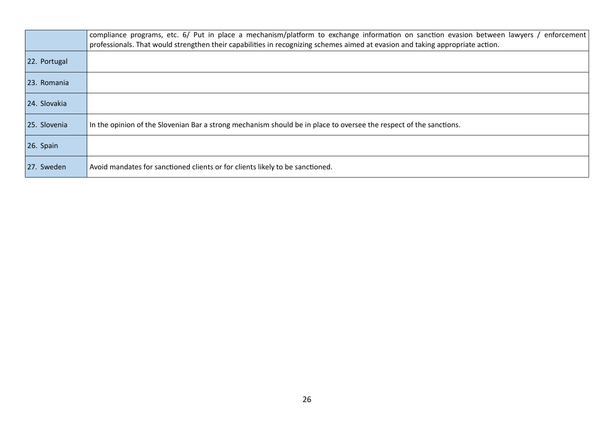|              | compliance programs, etc. 6/ Put in place a mechanism/platform to exchange information on sanction evasion between lawyers /<br>enforcement<br>professionals. That would strengthen their capabilities in recognizing schemes aimed at evasion and taking appropriate action. |
|--------------|-------------------------------------------------------------------------------------------------------------------------------------------------------------------------------------------------------------------------------------------------------------------------------|
| 22. Portugal |                                                                                                                                                                                                                                                                               |
| 23. Romania  |                                                                                                                                                                                                                                                                               |
| 24. Slovakia |                                                                                                                                                                                                                                                                               |
| 25. Slovenia | In the opinion of the Slovenian Bar a strong mechanism should be in place to oversee the respect of the sanctions.                                                                                                                                                            |
| 26. Spain    |                                                                                                                                                                                                                                                                               |
| 27. Sweden   | Avoid mandates for sanctioned clients or for clients likely to be sanctioned.                                                                                                                                                                                                 |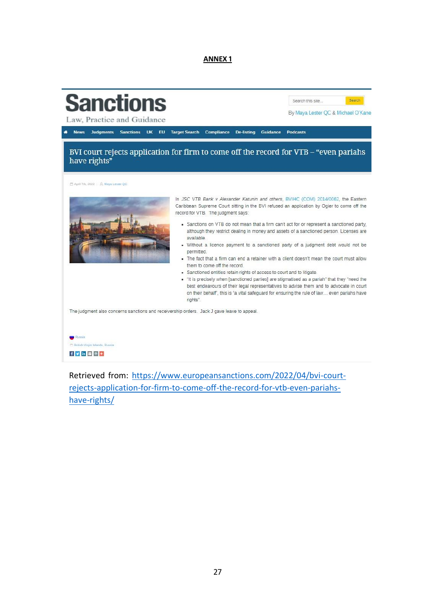**ANNEX 1**



Retrieved from: [https://www.europeansanctions.com/2022/04/bvi-court](https://www.europeansanctions.com/2022/04/bvi-court-rejects-application-for-firm-to-come-off-the-record-for-vtb-even-pariahs-have-rights/)[rejects-application-for-firm-to-come-off-the-record-for-vtb-even-pariahs](https://www.europeansanctions.com/2022/04/bvi-court-rejects-application-for-firm-to-come-off-the-record-for-vtb-even-pariahs-have-rights/)[have-rights/](https://www.europeansanctions.com/2022/04/bvi-court-rejects-application-for-firm-to-come-off-the-record-for-vtb-even-pariahs-have-rights/)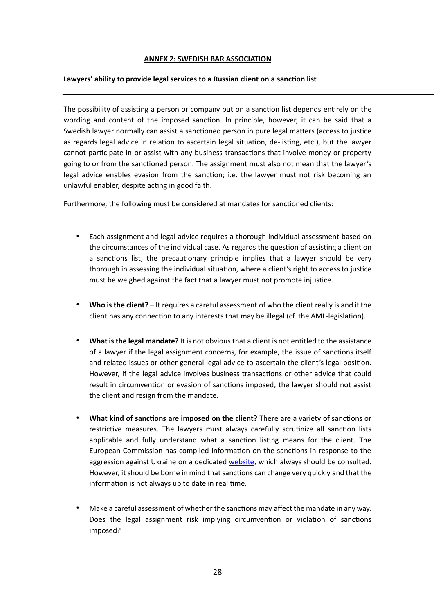## **ANNEX 2: SWEDISH BAR ASSOCIATION**

## **Lawyers' ability to provide legal services to a Russian client on a sanction list**

The possibility of assisting a person or company put on a sanction list depends entirely on the wording and content of the imposed sanction. In principle, however, it can be said that a Swedish lawyer normally can assist a sanctioned person in pure legal matters (access to justice as regards legal advice in relation to ascertain legal situation, de-listing, etc.), but the lawyer cannot participate in or assist with any business transactions that involve money or property going to or from the sanctioned person. The assignment must also not mean that the lawyer's legal advice enables evasion from the sanction; i.e. the lawyer must not risk becoming an unlawful enabler, despite acting in good faith.

Furthermore, the following must be considered at mandates for sanctioned clients:

- Each assignment and legal advice requires a thorough individual assessment based on the circumstances of the individual case. As regards the question of assisting a client on a sanctions list, the precautionary principle implies that a lawyer should be very thorough in assessing the individual situation, where a client's right to access to justice must be weighed against the fact that a lawyer must not promote injustice.
- **Who is the client?** It requires a careful assessment of who the client really is and if the client has any connection to any interests that may be illegal (cf. the AML-legislation).
- **What is the legal mandate?** It is not obvious that a client is not entitled to the assistance of a lawyer if the legal assignment concerns, for example, the issue of sanctions itself and related issues or other general legal advice to ascertain the client's legal position. However, if the legal advice involves business transactions or other advice that could result in circumvention or evasion of sanctions imposed, the lawyer should not assist the client and resign from the mandate.
- **What kind of sanctions are imposed on the client?** There are a variety of sanctions or restrictive measures. The lawyers must always carefully scrutinize all sanction lists applicable and fully understand what a sanction listing means for the client. The European Commission has compiled information on the sanctions in response to the aggression against Ukraine on a dedicated [website,](https://ec.europa.eu/info/business-economy-euro/banking-and-finance/international-relations/restrictive-measures-sanctions/sanctions-adopted-following-russias-military-aggression-against-ukraine_en#sanctions) which always should be consulted. However, it should be borne in mind that sanctions can change very quickly and that the information is not always up to date in real time.
- Make a careful assessment of whether the sanctions may affect the mandate in any way. Does the legal assignment risk implying circumvention or violation of sanctions imposed?